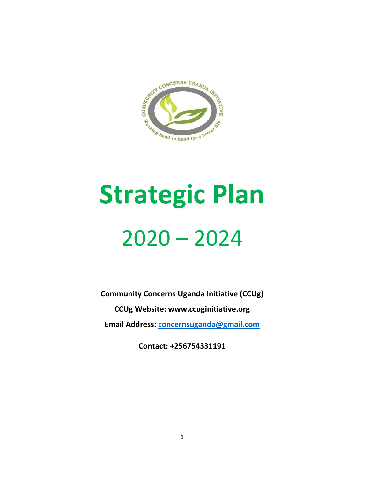

# **Strategic Plan** 2020 – 2024

**Community Concerns Uganda Initiative (CCUg)**

**CCUg Website: www.ccuginitiative.org**

**Email Address: [concernsuganda@gmail.com](mailto:concernsuganda@gmail.com)**

**Contact: +256754331191**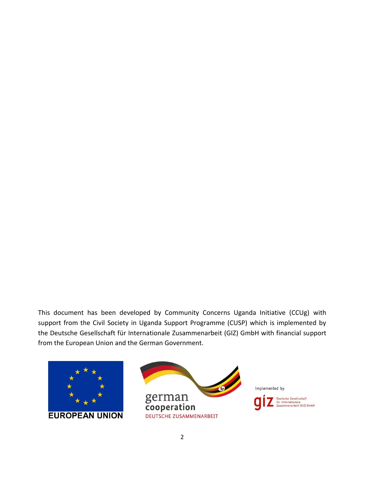This document has been developed by Community Concerns Uganda Initiative (CCUg) with support from the Civil Society in Uganda Support Programme (CUSP) which is implemented by the Deutsche Gesellschaft für Internationale Zusammenarbeit (GIZ) GmbH with financial support from the European Union and the German Government.





Implemented by:

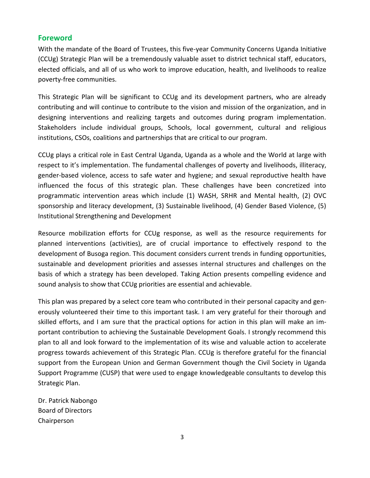#### <span id="page-2-0"></span>**Foreword**

With the mandate of the Board of Trustees, this five-year Community Concerns Uganda Initiative (CCUg) Strategic Plan will be a tremendously valuable asset to district technical staff, educators, elected officials, and all of us who work to improve education, health, and livelihoods to realize poverty-free communities.

This Strategic Plan will be significant to CCUg and its development partners, who are already contributing and will continue to contribute to the vision and mission of the organization, and in designing interventions and realizing targets and outcomes during program implementation. Stakeholders include individual groups, Schools, local government, cultural and religious institutions, CSOs, coalitions and partnerships that are critical to our program.

CCUg plays a critical role in East Central Uganda, Uganda as a whole and the World at large with respect to it's implementation. The fundamental challenges of poverty and livelihoods, illiteracy, gender-based violence, access to safe water and hygiene; and sexual reproductive health have influenced the focus of this strategic plan. These challenges have been concretized into programmatic intervention areas which include (1) WASH, SRHR and Mental health, (2) OVC sponsorship and literacy development, (3) Sustainable livelihood, (4) Gender Based Violence, (5) Institutional Strengthening and Development

Resource mobilization efforts for CCUg response, as well as the resource requirements for planned interventions (activities), are of crucial importance to effectively respond to the development of Busoga region. This document considers current trends in funding opportunities, sustainable and development priorities and assesses internal structures and challenges on the basis of which a strategy has been developed. Taking Action presents compelling evidence and sound analysis to show that CCUg priorities are essential and achievable.

This plan was prepared by a select core team who contributed in their personal capacity and generously volunteered their time to this important task. I am very grateful for their thorough and skilled efforts, and I am sure that the practical options for action in this plan will make an important contribution to achieving the Sustainable Development Goals. I strongly recommend this plan to all and look forward to the implementation of its wise and valuable action to accelerate progress towards achievement of this Strategic Plan. CCUg is therefore grateful for the financial support from the European Union and German Government though the Civil Society in Uganda Support Programme (CUSP) that were used to engage knowledgeable consultants to develop this Strategic Plan.

Dr. Patrick Nabongo Board of Directors Chairperson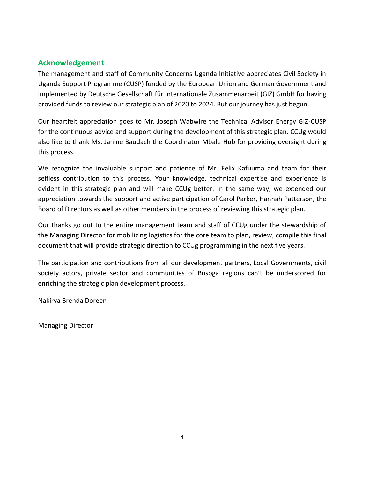# <span id="page-3-0"></span>**Acknowledgement**

The management and staff of Community Concerns Uganda Initiative appreciates Civil Society in Uganda Support Programme (CUSP) funded by the European Union and German Government and implemented by Deutsche Gesellschaft für Internationale Zusammenarbeit (GIZ) GmbH for having provided funds to review our strategic plan of 2020 to 2024. But our journey has just begun.

Our heartfelt appreciation goes to Mr. Joseph Wabwire the Technical Advisor Energy GIZ-CUSP for the continuous advice and support during the development of this strategic plan. CCUg would also like to thank Ms. Janine Baudach the Coordinator Mbale Hub for providing oversight during this process.

We recognize the invaluable support and patience of Mr. Felix Kafuuma and team for their selfless contribution to this process. Your knowledge, technical expertise and experience is evident in this strategic plan and will make CCUg better. In the same way, we extended our appreciation towards the support and active participation of Carol Parker, Hannah Patterson, the Board of Directors as well as other members in the process of reviewing this strategic plan.

Our thanks go out to the entire management team and staff of CCUg under the stewardship of the Managing Director for mobilizing logistics for the core team to plan, review, compile this final document that will provide strategic direction to CCUg programming in the next five years.

The participation and contributions from all our development partners, Local Governments, civil society actors, private sector and communities of Busoga regions can't be underscored for enriching the strategic plan development process.

Nakirya Brenda Doreen

Managing Director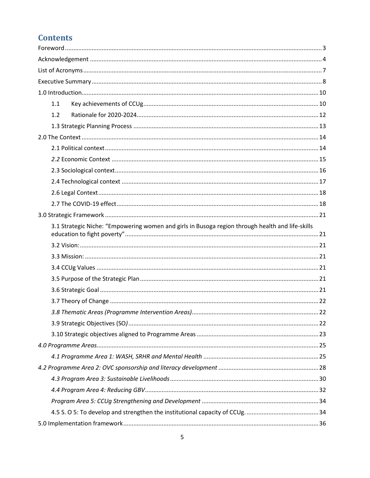# **Contents**

| 1.1                                                                                              |  |
|--------------------------------------------------------------------------------------------------|--|
| 1.2                                                                                              |  |
|                                                                                                  |  |
|                                                                                                  |  |
|                                                                                                  |  |
|                                                                                                  |  |
|                                                                                                  |  |
|                                                                                                  |  |
|                                                                                                  |  |
|                                                                                                  |  |
|                                                                                                  |  |
| 3.1 Strategic Niche: "Empowering women and girls in Busoga region through health and life-skills |  |
|                                                                                                  |  |
|                                                                                                  |  |
|                                                                                                  |  |
|                                                                                                  |  |
|                                                                                                  |  |
|                                                                                                  |  |
|                                                                                                  |  |
|                                                                                                  |  |
|                                                                                                  |  |
|                                                                                                  |  |
|                                                                                                  |  |
|                                                                                                  |  |
|                                                                                                  |  |
|                                                                                                  |  |
|                                                                                                  |  |
|                                                                                                  |  |
|                                                                                                  |  |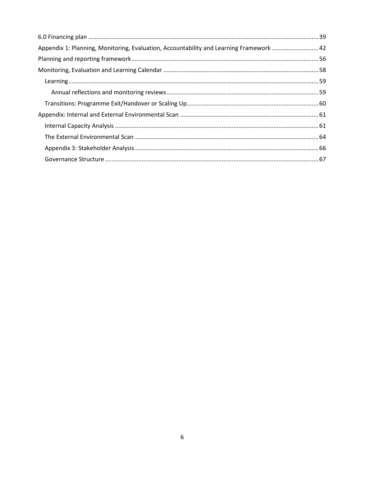| Appendix 1: Planning, Monitoring, Evaluation, Accountability and Learning Framework  42 |  |
|-----------------------------------------------------------------------------------------|--|
|                                                                                         |  |
|                                                                                         |  |
|                                                                                         |  |
|                                                                                         |  |
|                                                                                         |  |
|                                                                                         |  |
|                                                                                         |  |
|                                                                                         |  |
|                                                                                         |  |
|                                                                                         |  |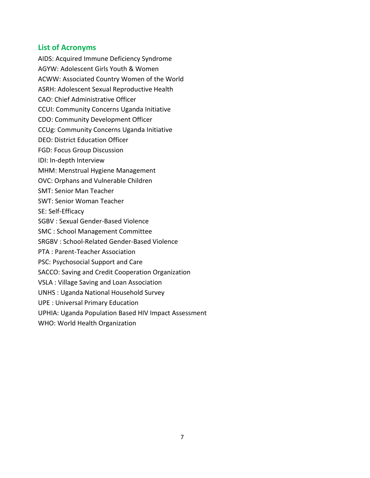## <span id="page-6-0"></span>**List of Acronyms**

AIDS: Acquired Immune Deficiency Syndrome AGYW: Adolescent Girls Youth & Women ACWW: Associated Country Women of the World ASRH: Adolescent Sexual Reproductive Health CAO: Chief Administrative Officer CCUI: Community Concerns Uganda Initiative CDO: Community Development Officer CCUg: Community Concerns Uganda Initiative DEO: District Education Officer FGD: Focus Group Discussion IDI: In-depth Interview MHM: Menstrual Hygiene Management OVC: Orphans and Vulnerable Children SMT: Senior Man Teacher SWT: Senior Woman Teacher SE: Self-Efficacy SGBV : Sexual Gender-Based Violence SMC : School Management Committee SRGBV : School-Related Gender-Based Violence PTA : Parent-Teacher Association PSC: Psychosocial Support and Care SACCO: Saving and Credit Cooperation Organization VSLA : Village Saving and Loan Association UNHS : Uganda National Household Survey UPE : Universal Primary Education UPHIA: Uganda Population Based HIV Impact Assessment WHO: World Health Organization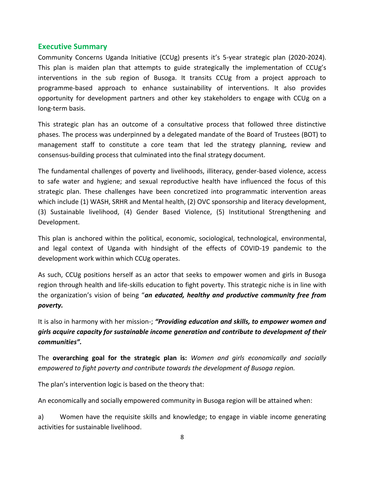#### <span id="page-7-0"></span>**Executive Summary**

Community Concerns Uganda Initiative (CCUg) presents it's 5-year strategic plan (2020-2024). This plan is maiden plan that attempts to guide strategically the implementation of CCUg's interventions in the sub region of Busoga. It transits CCUg from a project approach to programme-based approach to enhance sustainability of interventions. It also provides opportunity for development partners and other key stakeholders to engage with CCUg on a long-term basis.

This strategic plan has an outcome of a consultative process that followed three distinctive phases. The process was underpinned by a delegated mandate of the Board of Trustees (BOT) to management staff to constitute a core team that led the strategy planning, review and consensus-building process that culminated into the final strategy document.

The fundamental challenges of poverty and livelihoods, illiteracy, gender-based violence, access to safe water and hygiene; and sexual reproductive health have influenced the focus of this strategic plan. These challenges have been concretized into programmatic intervention areas which include (1) WASH, SRHR and Mental health, (2) OVC sponsorship and literacy development, (3) Sustainable livelihood, (4) Gender Based Violence, (5) Institutional Strengthening and Development.

This plan is anchored within the political, economic, sociological, technological, environmental, and legal context of Uganda with hindsight of the effects of COVID-19 pandemic to the development work within which CCUg operates.

As such, CCUg positions herself as an actor that seeks to empower women and girls in Busoga region through health and life-skills education to fight poverty. This strategic niche is in line with the organization's vision of being "*an educated, healthy and productive community free from poverty.*

It is also in harmony with her mission-; *"Providing education and skills, to empower women and girls acquire capacity for sustainable income generation and contribute to development of their communities".*

The **overarching goal for the strategic plan is:** *Women and girls economically and socially empowered to fight poverty and contribute towards the development of Busoga region.*

The plan's intervention logic is based on the theory that:

An economically and socially empowered community in Busoga region will be attained when:

a) Women have the requisite skills and knowledge; to engage in viable income generating activities for sustainable livelihood.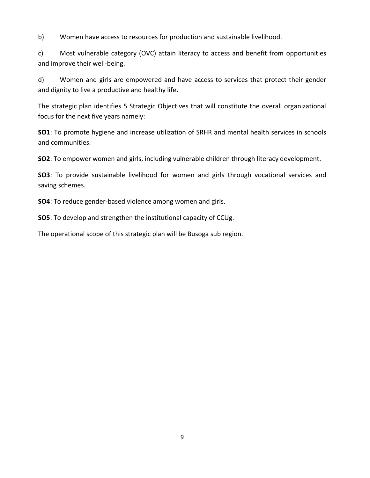b) Women have access to resources for production and sustainable livelihood.

c) Most vulnerable category (OVC) attain literacy to access and benefit from opportunities and improve their well-being.

d) Women and girls are empowered and have access to services that protect their gender and dignity to live a productive and healthy life*.* 

The strategic plan identifies 5 Strategic Objectives that will constitute the overall organizational focus for the next five years namely:

**SO1**: To promote hygiene and increase utilization of SRHR and mental health services in schools and communities.

**SO2**: To empower women and girls, including vulnerable children through literacy development.

**SO3**: To provide sustainable livelihood for women and girls through vocational services and saving schemes.

**SO4**: To reduce gender-based violence among women and girls.

**SO5**: To develop and strengthen the institutional capacity of CCUg.

The operational scope of this strategic plan will be Busoga sub region.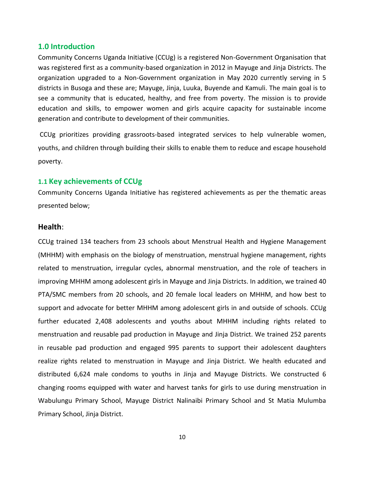#### <span id="page-9-0"></span>**1.0 Introduction**

Community Concerns Uganda Initiative (CCUg) is a registered Non-Government Organisation that was registered first as a community-based organization in 2012 in Mayuge and Jinja Districts. The organization upgraded to a Non-Government organization in May 2020 currently serving in 5 districts in Busoga and these are; Mayuge, Jinja, Luuka, Buyende and Kamuli. The main goal is to see a community that is educated, healthy, and free from poverty. The mission is to provide education and skills, to empower women and girls acquire capacity for sustainable income generation and contribute to development of their communities.

CCUg prioritizes providing grassroots-based integrated services to help vulnerable women, youths, and children through building their skills to enable them to reduce and escape household poverty.

#### <span id="page-9-1"></span>**1.1 Key achievements of CCUg**

Community Concerns Uganda Initiative has registered achievements as per the thematic areas presented below;

#### **Health**:

CCUg trained 134 teachers from 23 schools about Menstrual Health and Hygiene Management (MHHM) with emphasis on the biology of menstruation, menstrual hygiene management, rights related to menstruation, irregular cycles, abnormal menstruation, and the role of teachers in improving MHHM among adolescent girls in Mayuge and Jinja Districts. In addition, we trained 40 PTA/SMC members from 20 schools, and 20 female local leaders on MHHM, and how best to support and advocate for better MHHM among adolescent girls in and outside of schools. CCUg further educated 2,408 adolescents and youths about MHHM including rights related to menstruation and reusable pad production in Mayuge and Jinja District. We trained 252 parents in reusable pad production and engaged 995 parents to support their adolescent daughters realize rights related to menstruation in Mayuge and Jinja District. We health educated and distributed 6,624 male condoms to youths in Jinja and Mayuge Districts. We constructed 6 changing rooms equipped with water and harvest tanks for girls to use during menstruation in Wabulungu Primary School, Mayuge District Nalinaibi Primary School and St Matia Mulumba Primary School, Jinja District.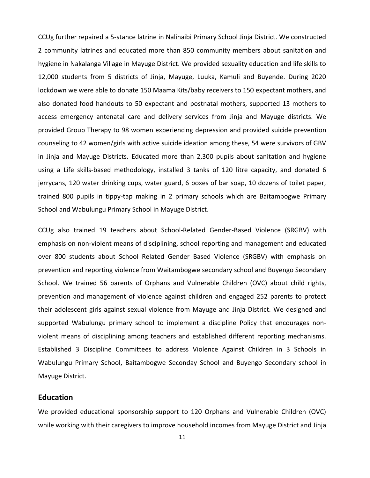CCUg further repaired a 5-stance latrine in Nalinaibi Primary School Jinja District. We constructed 2 community latrines and educated more than 850 community members about sanitation and hygiene in Nakalanga Village in Mayuge District. We provided sexuality education and life skills to 12,000 students from 5 districts of Jinja, Mayuge, Luuka, Kamuli and Buyende. During 2020 lockdown we were able to donate 150 Maama Kits/baby receivers to 150 expectant mothers, and also donated food handouts to 50 expectant and postnatal mothers, supported 13 mothers to access emergency antenatal care and delivery services from Jinja and Mayuge districts. We provided Group Therapy to 98 women experiencing depression and provided suicide prevention counseling to 42 women/girls with active suicide ideation among these, 54 were survivors of GBV in Jinja and Mayuge Districts. Educated more than 2,300 pupils about sanitation and hygiene using a Life skills-based methodology, installed 3 tanks of 120 litre capacity, and donated 6 jerrycans, 120 water drinking cups, water guard, 6 boxes of bar soap, 10 dozens of toilet paper, trained 800 pupils in tippy-tap making in 2 primary schools which are Baitambogwe Primary School and Wabulungu Primary School in Mayuge District.

CCUg also trained 19 teachers about School-Related Gender-Based Violence (SRGBV) with emphasis on non-violent means of disciplining, school reporting and management and educated over 800 students about School Related Gender Based Violence (SRGBV) with emphasis on prevention and reporting violence from Waitambogwe secondary school and Buyengo Secondary School. We trained 56 parents of Orphans and Vulnerable Children (OVC) about child rights, prevention and management of violence against children and engaged 252 parents to protect their adolescent girls against sexual violence from Mayuge and Jinja District. We designed and supported Wabulungu primary school to implement a discipline Policy that encourages nonviolent means of disciplining among teachers and established different reporting mechanisms. Established 3 Discipline Committees to address Violence Against Children in 3 Schools in Wabulungu Primary School, Baitambogwe Seconday School and Buyengo Secondary school in Mayuge District.

#### **Education**

We provided educational sponsorship support to 120 Orphans and Vulnerable Children (OVC) while working with their caregivers to improve household incomes from Mayuge District and Jinja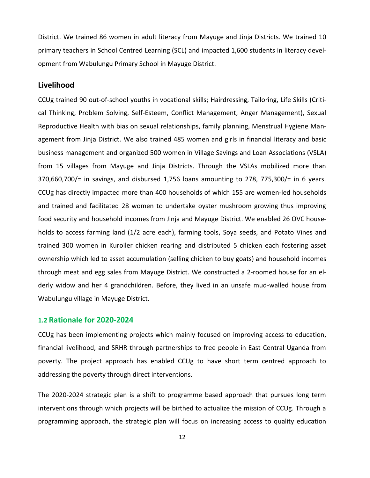District. We trained 86 women in adult literacy from Mayuge and Jinja Districts. We trained 10 primary teachers in School Centred Learning (SCL) and impacted 1,600 students in literacy development from Wabulungu Primary School in Mayuge District.

#### **Livelihood**

CCUg trained 90 out-of-school youths in vocational skills; Hairdressing, Tailoring, Life Skills (Critical Thinking, Problem Solving, Self-Esteem, Conflict Management, Anger Management), Sexual Reproductive Health with bias on sexual relationships, family planning, Menstrual Hygiene Management from Jinja District. We also trained 485 women and girls in financial literacy and basic business management and organized 500 women in Village Savings and Loan Associations (VSLA) from 15 villages from Mayuge and Jinja Districts. Through the VSLAs mobilized more than 370,660,700/= in savings, and disbursed 1,756 loans amounting to 278, 775,300/= in 6 years. CCUg has directly impacted more than 400 households of which 155 are women-led households and trained and facilitated 28 women to undertake oyster mushroom growing thus improving food security and household incomes from Jinja and Mayuge District. We enabled 26 OVC households to access farming land (1/2 acre each), farming tools, Soya seeds, and Potato Vines and trained 300 women in Kuroiler chicken rearing and distributed 5 chicken each fostering asset ownership which led to asset accumulation (selling chicken to buy goats) and household incomes through meat and egg sales from Mayuge District. We constructed a 2-roomed house for an elderly widow and her 4 grandchildren. Before, they lived in an unsafe mud-walled house from Wabulungu village in Mayuge District.

#### <span id="page-11-0"></span>**1.2 Rationale for 2020-2024**

CCUg has been implementing projects which mainly focused on improving access to education, financial livelihood, and SRHR through partnerships to free people in East Central Uganda from poverty. The project approach has enabled CCUg to have short term centred approach to addressing the poverty through direct interventions.

The 2020-2024 strategic plan is a shift to programme based approach that pursues long term interventions through which projects will be birthed to actualize the mission of CCUg. Through a programming approach, the strategic plan will focus on increasing access to quality education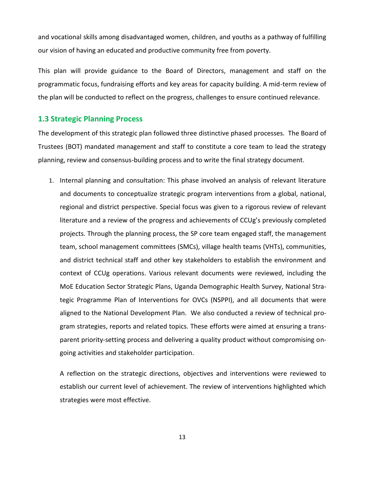and vocational skills among disadvantaged women, children, and youths as a pathway of fulfilling our vision of having an educated and productive community free from poverty.

This plan will provide guidance to the Board of Directors, management and staff on the programmatic focus, fundraising efforts and key areas for capacity building. A mid-term review of the plan will be conducted to reflect on the progress, challenges to ensure continued relevance.

#### <span id="page-12-0"></span>**1.3 Strategic Planning Process**

The development of this strategic plan followed three distinctive phased processes. The Board of Trustees (BOT) mandated management and staff to constitute a core team to lead the strategy planning, review and consensus-building process and to write the final strategy document.

1. Internal planning and consultation: This phase involved an analysis of relevant literature and documents to conceptualize strategic program interventions from a global, national, regional and district perspective. Special focus was given to a rigorous review of relevant literature and a review of the progress and achievements of CCUg's previously completed projects. Through the planning process, the SP core team engaged staff, the management team, school management committees (SMCs), village health teams (VHTs), communities, and district technical staff and other key stakeholders to establish the environment and context of CCUg operations. Various relevant documents were reviewed, including the MoE Education Sector Strategic Plans, Uganda Demographic Health Survey, National Strategic Programme Plan of Interventions for OVCs (NSPPI), and all documents that were aligned to the National Development Plan. We also conducted a review of technical program strategies, reports and related topics. These efforts were aimed at ensuring a transparent priority-setting process and delivering a quality product without compromising ongoing activities and stakeholder participation.

A reflection on the strategic directions, objectives and interventions were reviewed to establish our current level of achievement. The review of interventions highlighted which strategies were most effective.

13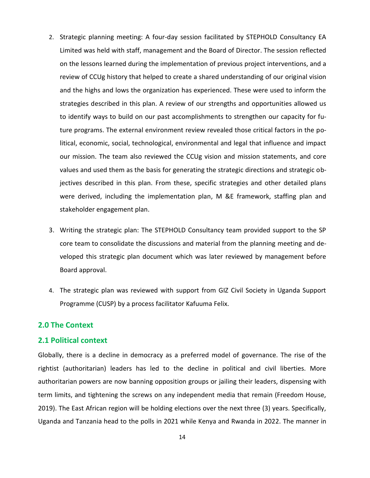- 2. Strategic planning meeting: A four-day session facilitated by STEPHOLD Consultancy EA Limited was held with staff, management and the Board of Director. The session reflected on the lessons learned during the implementation of previous project interventions, and a review of CCUg history that helped to create a shared understanding of our original vision and the highs and lows the organization has experienced. These were used to inform the strategies described in this plan. A review of our strengths and opportunities allowed us to identify ways to build on our past accomplishments to strengthen our capacity for future programs. The external environment review revealed those critical factors in the political, economic, social, technological, environmental and legal that influence and impact our mission. The team also reviewed the CCUg vision and mission statements, and core values and used them as the basis for generating the strategic directions and strategic objectives described in this plan. From these, specific strategies and other detailed plans were derived, including the implementation plan, M &E framework, staffing plan and stakeholder engagement plan.
- 3. Writing the strategic plan: The STEPHOLD Consultancy team provided support to the SP core team to consolidate the discussions and material from the planning meeting and developed this strategic plan document which was later reviewed by management before Board approval.
- 4. The strategic plan was reviewed with support from GIZ Civil Society in Uganda Support Programme (CUSP) by a process facilitator Kafuuma Felix.

#### <span id="page-13-0"></span>**2.0 The Context**

#### <span id="page-13-1"></span>**2.1 Political context**

Globally, there is a decline in democracy as a preferred model of governance. The rise of the rightist (authoritarian) leaders has led to the decline in political and civil liberties. More authoritarian powers are now banning opposition groups or jailing their leaders, dispensing with term limits, and tightening the screws on any independent media that remain (Freedom House, 2019). The East African region will be holding elections over the next three (3) years. Specifically, Uganda and Tanzania head to the polls in 2021 while Kenya and Rwanda in 2022. The manner in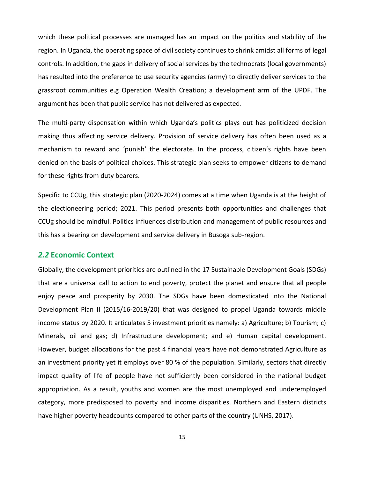which these political processes are managed has an impact on the politics and stability of the region. In Uganda, the operating space of civil society continues to shrink amidst all forms of legal controls. In addition, the gaps in delivery of social services by the technocrats (local governments) has resulted into the preference to use security agencies (army) to directly deliver services to the grassroot communities e.g Operation Wealth Creation; a development arm of the UPDF. The argument has been that public service has not delivered as expected.

The multi-party dispensation within which Uganda's politics plays out has politicized decision making thus affecting service delivery. Provision of service delivery has often been used as a mechanism to reward and 'punish' the electorate. In the process, citizen's rights have been denied on the basis of political choices. This strategic plan seeks to empower citizens to demand for these rights from duty bearers.

Specific to CCUg, this strategic plan (2020-2024) comes at a time when Uganda is at the height of the electioneering period; 2021. This period presents both opportunities and challenges that CCUg should be mindful. Politics influences distribution and management of public resources and this has a bearing on development and service delivery in Busoga sub-region.

#### <span id="page-14-0"></span>*2.2* **Economic Context**

Globally, the development priorities are outlined in the 17 Sustainable Development Goals (SDGs) that are a universal call to action to end poverty, protect the planet and ensure that all people enjoy peace and prosperity by 2030. The SDGs have been domesticated into the National Development Plan II (2015/16-2019/20) that was designed to propel Uganda towards middle income status by 2020. It articulates 5 investment priorities namely: a) Agriculture; b) Tourism; c) Minerals, oil and gas; d) Infrastructure development; and e) Human capital development. However, budget allocations for the past 4 financial years have not demonstrated Agriculture as an investment priority yet it employs over 80 % of the population. Similarly, sectors that directly impact quality of life of people have not sufficiently been considered in the national budget appropriation. As a result, youths and women are the most unemployed and underemployed category, more predisposed to poverty and income disparities. Northern and Eastern districts have higher poverty headcounts compared to other parts of the country (UNHS, 2017).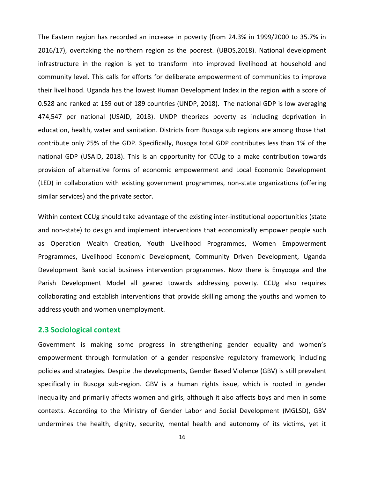The Eastern region has recorded an increase in poverty (from 24.3% in 1999/2000 to 35.7% in 2016/17), overtaking the northern region as the poorest. (UBOS,2018). National development infrastructure in the region is yet to transform into improved livelihood at household and community level. This calls for efforts for deliberate empowerment of communities to improve their livelihood. Uganda has the lowest Human Development Index in the region with a score of 0.528 and ranked at 159 out of 189 countries (UNDP, 2018). The national GDP is low averaging 474,547 per national (USAID, 2018). UNDP theorizes poverty as including deprivation in education, health, water and sanitation. Districts from Busoga sub regions are among those that contribute only 25% of the GDP. Specifically, Busoga total GDP contributes less than 1% of the national GDP (USAID, 2018). This is an opportunity for CCUg to a make contribution towards provision of alternative forms of economic empowerment and Local Economic Development (LED) in collaboration with existing government programmes, non-state organizations (offering similar services) and the private sector.

Within context CCUg should take advantage of the existing inter-institutional opportunities (state and non-state) to design and implement interventions that economically empower people such as Operation Wealth Creation, Youth Livelihood Programmes, Women Empowerment Programmes, Livelihood Economic Development, Community Driven Development, Uganda Development Bank social business intervention programmes. Now there is Emyooga and the Parish Development Model all geared towards addressing poverty. CCUg also requires collaborating and establish interventions that provide skilling among the youths and women to address youth and women unemployment.

#### <span id="page-15-0"></span>**2.3 Sociological context**

Government is making some progress in strengthening gender equality and women's empowerment through formulation of a gender responsive regulatory framework; including policies and strategies. Despite the developments, Gender Based Violence (GBV) is still prevalent specifically in Busoga sub-region. GBV is a human rights issue, which is rooted in gender inequality and primarily affects women and girls, although it also affects boys and men in some contexts. According to the Ministry of Gender Labor and Social Development (MGLSD), GBV undermines the health, dignity, security, mental health and autonomy of its victims, yet it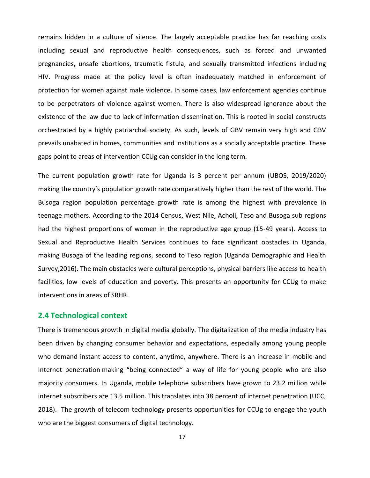remains hidden in a culture of silence. The largely acceptable practice has far reaching costs including sexual and reproductive health consequences, such as forced and unwanted pregnancies, unsafe abortions, traumatic fistula, and sexually transmitted infections including HIV. Progress made at the policy level is often inadequately matched in enforcement of protection for women against male violence. In some cases, law enforcement agencies continue to be perpetrators of violence against women. There is also widespread ignorance about the existence of the law due to lack of information dissemination. This is rooted in social constructs orchestrated by a highly patriarchal society. As such, levels of GBV remain very high and GBV prevails unabated in homes, communities and institutions as a socially acceptable practice. These gaps point to areas of intervention CCUg can consider in the long term.

The current population growth rate for Uganda is 3 percent per annum (UBOS, 2019/2020) making the country's population growth rate comparatively higher than the rest of the world. The Busoga region population percentage growth rate is among the highest with prevalence in teenage mothers. According to the 2014 Census, West Nile, Acholi, Teso and Busoga sub regions had the highest proportions of women in the reproductive age group (15-49 years). Access to Sexual and Reproductive Health Services continues to face significant obstacles in Uganda, making Busoga of the leading regions, second to Teso region (Uganda Demographic and Health Survey,2016). The main obstacles were cultural perceptions, physical barriers like access to health facilities, low levels of education and poverty. This presents an opportunity for CCUg to make interventions in areas of SRHR.

#### <span id="page-16-0"></span>**2.4 Technological context**

There is tremendous growth in digital media globally. The digitalization of the media industry has been driven by changing consumer behavior and expectations, especially among young people who demand instant access to content, anytime, anywhere. There is an increase in mobile and Internet penetration making "being connected" a way of life for young people who are also majority consumers. In Uganda, mobile telephone subscribers have grown to 23.2 million while internet subscribers are 13.5 million. This translates into 38 percent of internet penetration (UCC, 2018). The growth of telecom technology presents opportunities for CCUg to engage the youth who are the biggest consumers of digital technology.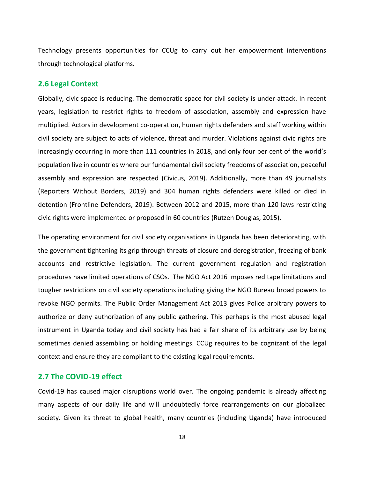Technology presents opportunities for CCUg to carry out her empowerment interventions through technological platforms.

#### <span id="page-17-0"></span>**2.6 Legal Context**

Globally, civic space is reducing. The democratic space for civil society is under attack. In recent years, legislation to restrict rights to freedom of association, assembly and expression have multiplied. Actors in development co-operation, human rights defenders and staff working within civil society are subject to acts of violence, threat and murder. Violations against civic rights are increasingly occurring in more than 111 countries in 2018, and only four per cent of the world's population live in countries where our fundamental civil society freedoms of association, peaceful assembly and expression are respected (Civicus, 2019). Additionally, more than 49 journalists (Reporters Without Borders, 2019) and 304 human rights defenders were killed or died in detention (Frontline Defenders, 2019). Between 2012 and 2015, more than 120 laws restricting civic rights were implemented or proposed in 60 countries (Rutzen Douglas, 2015).

The operating environment for civil society organisations in Uganda has been deteriorating, with the government tightening its grip through threats of closure and deregistration, freezing of bank accounts and restrictive legislation. The current government regulation and registration procedures have limited operations of CSOs. The NGO Act 2016 imposes red tape limitations and tougher restrictions on civil society operations including giving the NGO Bureau broad powers to revoke NGO permits. The Public Order Management Act 2013 gives Police arbitrary powers to authorize or deny authorization of any public gathering. This perhaps is the most abused legal instrument in Uganda today and civil society has had a fair share of its arbitrary use by being sometimes denied assembling or holding meetings. CCUg requires to be cognizant of the legal context and ensure they are compliant to the existing legal requirements.

#### <span id="page-17-1"></span>**2.7 The COVID-19 effect**

Covid-19 has caused major disruptions world over. The ongoing pandemic is already affecting many aspects of our daily life and will undoubtedly force rearrangements on our globalized society. Given its threat to global health, many countries (including Uganda) have introduced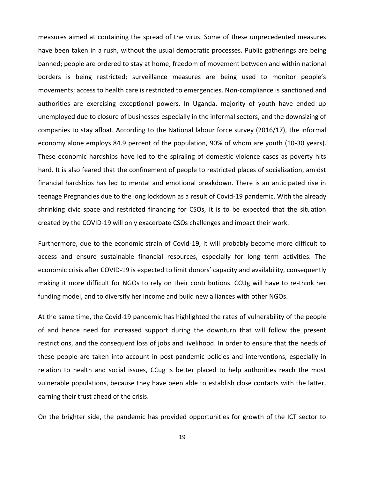measures aimed at containing the spread of the virus. Some of these unprecedented measures have been taken in a rush, without the usual democratic processes. Public gatherings are being banned; people are ordered to stay at home; freedom of movement between and within national borders is being restricted; surveillance measures are being used to monitor people's movements; access to health care is restricted to emergencies. Non-compliance is sanctioned and authorities are exercising exceptional powers. In Uganda, majority of youth have ended up unemployed due to closure of businesses especially in the informal sectors, and the downsizing of companies to stay afloat. According to the National labour force survey (2016/17), the informal economy alone employs 84.9 percent of the population, 90% of whom are youth (10-30 years). These economic hardships have led to the spiraling of domestic violence cases as poverty hits hard. It is also feared that the confinement of people to restricted places of socialization, amidst financial hardships has led to mental and emotional breakdown. There is an anticipated rise in teenage Pregnancies due to the long lockdown as a result of Covid-19 pandemic. With the already shrinking civic space and restricted financing for CSOs, it is to be expected that the situation created by the COVID-19 will only exacerbate CSOs challenges and impact their work.

Furthermore, due to the economic strain of Covid-19, it will probably become more difficult to access and ensure sustainable financial resources, especially for long term activities. The economic crisis after COVID-19 is expected to limit donors' capacity and availability, consequently making it more difficult for NGOs to rely on their contributions. CCUg will have to re-think her funding model, and to diversify her income and build new alliances with other NGOs.

At the same time, the Covid-19 pandemic has highlighted the rates of vulnerability of the people of and hence need for increased support during the downturn that will follow the present restrictions, and the consequent loss of jobs and livelihood. In order to ensure that the needs of these people are taken into account in post-pandemic policies and interventions, especially in relation to health and social issues, CCug is better placed to help authorities reach the most vulnerable populations, because they have been able to establish close contacts with the latter, earning their trust ahead of the crisis.

On the brighter side, the pandemic has provided opportunities for growth of the ICT sector to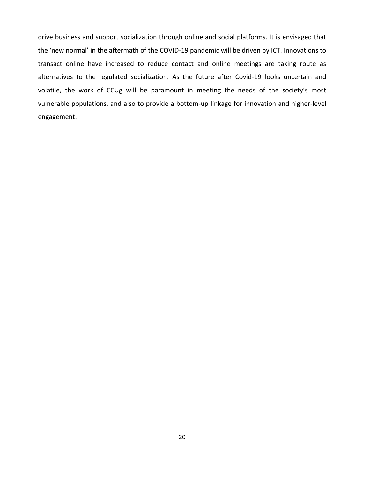drive business and support socialization through online and social platforms. It is envisaged that the 'new normal' in the aftermath of the COVID-19 pandemic will be driven by ICT. Innovations to transact online have increased to reduce contact and online meetings are taking route as alternatives to the regulated socialization. As the future after Covid-19 looks uncertain and volatile, the work of CCUg will be paramount in meeting the needs of the society's most vulnerable populations, and also to provide a bottom-up linkage for innovation and higher-level engagement.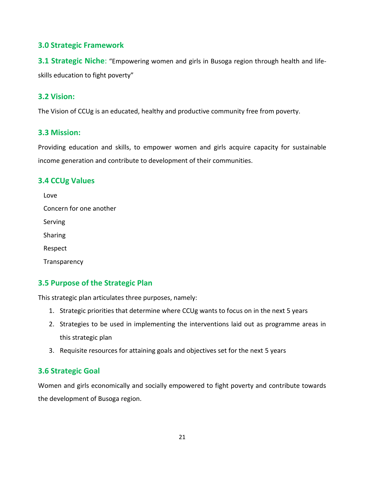# <span id="page-20-0"></span>**3.0 Strategic Framework**

<span id="page-20-1"></span>**3.1 Strategic Niche:** "Empowering women and girls in Busoga region through health and lifeskills education to fight poverty"

# <span id="page-20-2"></span>**3.2 Vision:**

The Vision of CCUg is an educated, healthy and productive community free from poverty.

## <span id="page-20-3"></span>**3.3 Mission:**

Providing education and skills, to empower women and girls acquire capacity for sustainable income generation and contribute to development of their communities.

# <span id="page-20-4"></span>**3.4 CCUg Values**

| Love                    |
|-------------------------|
| Concern for one another |
| Serving                 |
| Sharing                 |
| Respect                 |
| Transparency            |

# <span id="page-20-5"></span>**3.5 Purpose of the Strategic Plan**

This strategic plan articulates three purposes, namely:

- 1. Strategic priorities that determine where CCUg wants to focus on in the next 5 years
- 2. Strategies to be used in implementing the interventions laid out as programme areas in this strategic plan
- 3. Requisite resources for attaining goals and objectives set for the next 5 years

# <span id="page-20-6"></span>**3.6 Strategic Goal**

Women and girls economically and socially empowered to fight poverty and contribute towards the development of Busoga region.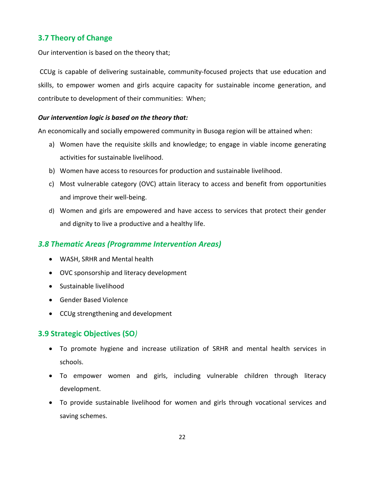# <span id="page-21-0"></span>**3.7 Theory of Change**

Our intervention is based on the theory that;

CCUg is capable of delivering sustainable, community-focused projects that use education and skills, to empower women and girls acquire capacity for sustainable income generation, and contribute to development of their communities: When;

#### *Our intervention logic is based on the theory that:*

An economically and socially empowered community in Busoga region will be attained when:

- a) Women have the requisite skills and knowledge; to engage in viable income generating activities for sustainable livelihood.
- b) Women have access to resources for production and sustainable livelihood.
- c) Most vulnerable category (OVC) attain literacy to access and benefit from opportunities and improve their well-being.
- d) Women and girls are empowered and have access to services that protect their gender and dignity to live a productive and a healthy life.

# <span id="page-21-1"></span>*3.8 Thematic Areas (Programme Intervention Areas)*

- WASH, SRHR and Mental health
- OVC sponsorship and literacy development
- Sustainable livelihood
- Gender Based Violence
- CCUg strengthening and development

# <span id="page-21-2"></span>**3.9 Strategic Objectives (SO***)*

- To promote hygiene and increase utilization of SRHR and mental health services in schools.
- To empower women and girls, including vulnerable children through literacy development.
- To provide sustainable livelihood for women and girls through vocational services and saving schemes.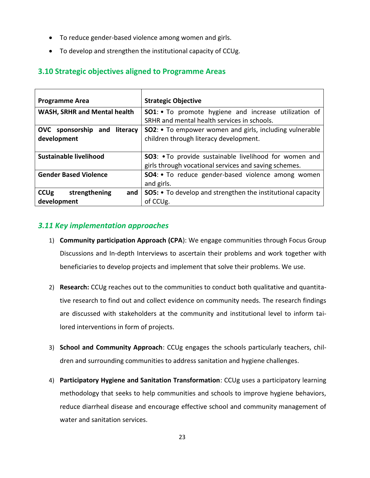- To reduce gender-based violence among women and girls.
- To develop and strengthen the institutional capacity of CCUg.

# <span id="page-22-0"></span>**3.10 Strategic objectives aligned to Programme Areas**

| <b>Programme Area</b>                              | <b>Strategic Objective</b>                                                                                              |
|----------------------------------------------------|-------------------------------------------------------------------------------------------------------------------------|
| <b>WASH, SRHR and Mental health</b>                | SO1: . To promote hygiene and increase utilization of<br>SRHR and mental health services in schools.                    |
| OVC sponsorship and literacy<br>development        | <b>SO2:</b> • To empower women and girls, including vulnerable<br>children through literacy development.                |
| Sustainable livelihood                             | <b>SO3</b> : • To provide sustainable livelihood for women and<br>girls through vocational services and saving schemes. |
| <b>Gender Based Violence</b>                       | <b>SO4:</b> • To reduce gender-based violence among women<br>and girls.                                                 |
| <b>CCUg</b><br>strengthening<br>and<br>development | <b>SO5:</b> • To develop and strengthen the institutional capacity<br>of CCUg.                                          |

# *3.11 Key implementation approaches*

- 1) **Community participation Approach (CPA**): We engage communities through Focus Group Discussions and In-depth Interviews to ascertain their problems and work together with beneficiaries to develop projects and implement that solve their problems. We use.
- 2) **Research:** CCUg reaches out to the communities to conduct both qualitative and quantitative research to find out and collect evidence on community needs. The research findings are discussed with stakeholders at the community and institutional level to inform tailored interventions in form of projects.
- 3) **School and Community Approach**: CCUg engages the schools particularly teachers, children and surrounding communities to address sanitation and hygiene challenges.
- 4) **Participatory Hygiene and Sanitation Transformation**: CCUg uses a participatory learning methodology that seeks to help communities and schools to improve hygiene behaviors, reduce diarrheal disease and encourage effective school and community management of water and sanitation services.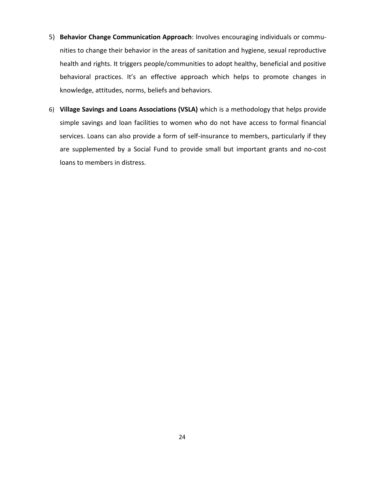- 5) **Behavior Change Communication Approach**: Involves encouraging individuals or communities to change their behavior in the areas of sanitation and hygiene, sexual reproductive health and rights. It triggers people/communities to adopt healthy, beneficial and positive behavioral practices. It's an effective approach which helps to promote changes in knowledge, attitudes, norms, beliefs and behaviors.
- 6) **Village Savings and Loans Associations (VSLA)** which is a methodology that helps provide simple savings and loan facilities to women who do not have access to formal financial services. Loans can also provide a form of self-insurance to members, particularly if they are supplemented by a Social Fund to provide small but important grants and no-cost loans to members in distress.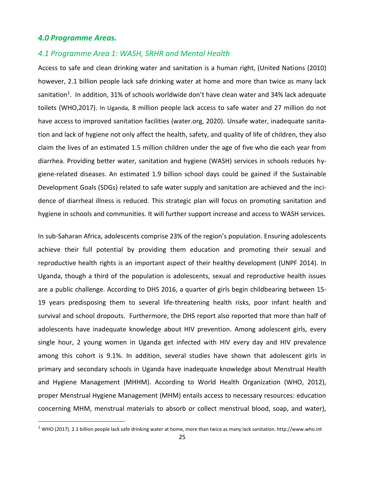#### <span id="page-24-0"></span>*4.0 Programme Areas.*

#### <span id="page-24-1"></span>*4.1 Programme Area 1: WASH, SRHR and Mental Health*

Access to safe and clean drinking water and sanitation is a human right, (United Nations (2010) however, 2.1 billion people lack safe drinking water at home and more than twice as many lack sanitation<sup>1</sup>. In addition, 31% of schools worldwide don't have clean water and 34% lack adequate toilets (WHO,2017). In Uganda, 8 million people lack access to safe water and 27 million do not have access to improved sanitation facilities (water.org, 2020). Unsafe water, inadequate sanitation and lack of hygiene not only affect the health, safety, and quality of life of children, they also claim the lives of an estimated 1.5 million children under the age of five who die each year from diarrhea. Providing better water, sanitation and hygiene (WASH) services in schools reduces hygiene-related diseases. An estimated 1.9 billion school days could be gained if the Sustainable Development Goals (SDGs) related to safe water supply and sanitation are achieved and the incidence of diarrheal illness is reduced. This strategic plan will focus on promoting sanitation and hygiene in schools and communities. It will further support increase and access to WASH services.

In sub-Saharan Africa, adolescents comprise 23% of the region's population. Ensuring adolescents achieve their full potential by providing them education and promoting their sexual and reproductive health rights is an important aspect of their healthy development (UNPF 2014). In Uganda, though a third of the population is adolescents, sexual and reproductive health issues are a public challenge. According to DHS 2016, a quarter of girls begin childbearing between 15- 19 years predisposing them to several life-threatening health risks, poor infant health and survival and school dropouts. Furthermore, the DHS report also reported that more than half of adolescents have inadequate knowledge about HIV prevention. Among adolescent girls, every single hour, 2 young women in Uganda get infected with HIV every day and HIV prevalence among this cohort is 9.1%. In addition, several studies have shown that adolescent girls in primary and secondary schools in Uganda have inadequate knowledge about Menstrual Health and Hygiene Management (MHHM). According to World Health Organization (WHO, 2012), proper Menstrual Hygiene Management (MHM) entails access to necessary resources: education concerning MHM, menstrual materials to absorb or collect menstrual blood, soap, and water),

<sup>&</sup>lt;sup>1</sup> WHO (2017). 2.1 billion people lack safe drinking water at home, more than twice as many lack sanitation. http://www.who.int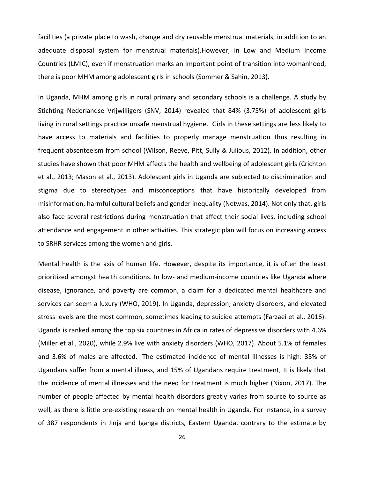facilities (a private place to wash, change and dry reusable menstrual materials, in addition to an adequate disposal system for menstrual materials).However, in Low and Medium Income Countries (LMIC), even if menstruation marks an important point of transition into womanhood, there is poor MHM among adolescent girls in schools (Sommer & Sahin, 2013).

In Uganda, MHM among girls in rural primary and secondary schools is a challenge. A study by Stichting Nederlandse Vrijwilligers (SNV, 2014) revealed that 84% (3.75%) of adolescent girls living in rural settings practice unsafe menstrual hygiene. Girls in these settings are less likely to have access to materials and facilities to properly manage menstruation thus resulting in frequent absenteeism from school (Wilson, Reeve, Pitt, Sully & Julious, 2012). In addition, other studies have shown that poor MHM affects the health and wellbeing of adolescent girls (Crichton et al., 2013; Mason et al., 2013). Adolescent girls in Uganda are subjected to discrimination and stigma due to stereotypes and misconceptions that have historically developed from misinformation, harmful cultural beliefs and gender inequality (Netwas, 2014). Not only that, girls also face several restrictions during menstruation that affect their social lives, including school attendance and engagement in other activities. This strategic plan will focus on increasing access to SRHR services among the women and girls.

Mental health is the axis of human life. However, despite its importance, it is often the least prioritized amongst health conditions. In low- and medium-income countries like Uganda where disease, ignorance, and poverty are common, a claim for a dedicated mental healthcare and services can seem a luxury (WHO, 2019). In Uganda, depression, anxiety disorders, and elevated stress levels are the most common, sometimes leading to suicide attempts (Farzaei et al., 2016). Uganda is ranked among the top six countries in Africa in rates of depressive disorders with 4.6% (Miller et al., 2020), while 2.9% live with anxiety disorders (WHO, 2017). About 5.1% of females and 3.6% of males are affected. The estimated incidence of mental illnesses is high: 35% of Ugandans suffer from a mental illness, and 15% of Ugandans require treatment, It is likely that the incidence of mental illnesses and the need for treatment is much higher (Nixon, 2017). The number of people affected by mental health disorders greatly varies from source to source as well, as there is little pre-existing research on mental health in Uganda. For instance, in a survey of 387 respondents in Jinja and Iganga districts, Eastern Uganda, contrary to the estimate by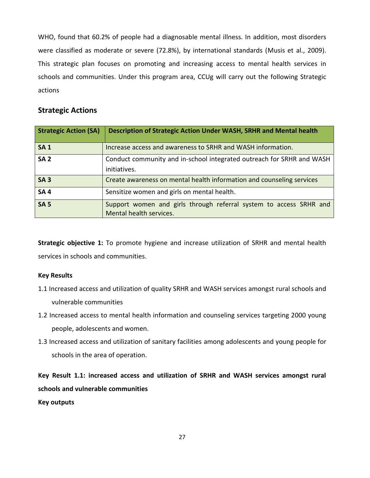WHO, found that 60.2% of people had a diagnosable mental illness. In addition, most disorders were classified as moderate or severe (72.8%), by international standards (Musis et al., 2009). This strategic plan focuses on promoting and increasing access to mental health services in schools and communities. Under this program area, CCUg will carry out the following Strategic actions

# **Strategic Actions**

| <b>Strategic Action (SA)</b> | Description of Strategic Action Under WASH, SRHR and Mental health                            |
|------------------------------|-----------------------------------------------------------------------------------------------|
| <b>SA1</b>                   | Increase access and awareness to SRHR and WASH information.                                   |
| <b>SA 2</b>                  | Conduct community and in-school integrated outreach for SRHR and WASH<br>initiatives.         |
| SA <sub>3</sub>              | Create awareness on mental health information and counseling services                         |
| <b>SA4</b>                   | Sensitize women and girls on mental health.                                                   |
| <b>SA 5</b>                  | Support women and girls through referral system to access SRHR and<br>Mental health services. |

**Strategic objective 1:** To promote hygiene and increase utilization of SRHR and mental health services in schools and communities.

#### **Key Results**

- 1.1 Increased access and utilization of quality SRHR and WASH services amongst rural schools and vulnerable communities
- 1.2 Increased access to mental health information and counseling services targeting 2000 young people, adolescents and women.
- 1.3 Increased access and utilization of sanitary facilities among adolescents and young people for schools in the area of operation.

**Key Result 1.1: increased access and utilization of SRHR and WASH services amongst rural schools and vulnerable communities**

**Key outputs**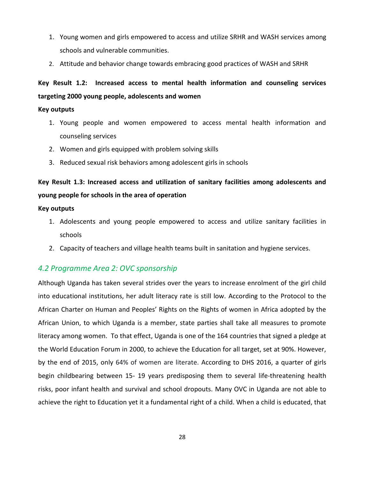- 1. Young women and girls empowered to access and utilize SRHR and WASH services among schools and vulnerable communities.
- 2. Attitude and behavior change towards embracing good practices of WASH and SRHR

# **Key Result 1.2: Increased access to mental health information and counseling services targeting 2000 young people, adolescents and women**

#### **Key outputs**

- 1. Young people and women empowered to access mental health information and counseling services
- 2. Women and girls equipped with problem solving skills
- 3. Reduced sexual risk behaviors among adolescent girls in schools

# **Key Result 1.3: Increased access and utilization of sanitary facilities among adolescents and young people for schools in the area of operation**

#### **Key outputs**

- 1. Adolescents and young people empowered to access and utilize sanitary facilities in schools
- 2. Capacity of teachers and village health teams built in sanitation and hygiene services.

# <span id="page-27-0"></span>*4.2 Programme Area 2: OVC sponsorship*

Although Uganda has taken several strides over the years to increase enrolment of the girl child into educational institutions, her adult literacy rate is still low. According to the Protocol to the African Charter on Human and Peoples' Rights on the Rights of women in Africa adopted by the African Union, to which Uganda is a member, state parties shall take all measures to promote literacy among women. To that effect, Uganda is one of the 164 countries that signed a pledge at the World Education Forum in 2000, to achieve the Education for all target, set at 90%. However, by the end of 2015, only 64% of women are literate. According to DHS 2016, a quarter of girls begin childbearing between 15- 19 years predisposing them to several life-threatening health risks, poor infant health and survival and school dropouts. Many OVC in Uganda are not able to achieve the right to Education yet it a fundamental right of a child. When a child is educated, that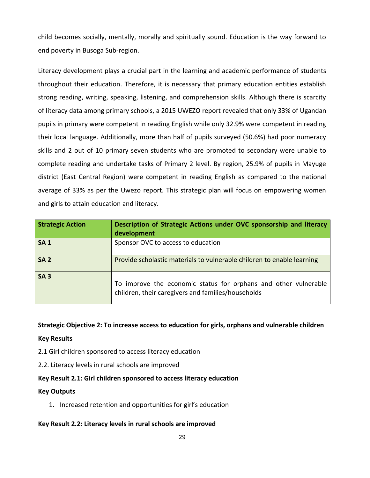child becomes socially, mentally, morally and spiritually sound. Education is the way forward to end poverty in Busoga Sub-region.

Literacy development plays a crucial part in the learning and academic performance of students throughout their education. Therefore, it is necessary that primary education entities establish strong reading, writing, speaking, listening, and comprehension skills. Although there is scarcity of literacy data among primary schools, a 2015 UWEZO report revealed that only 33% of Ugandan pupils in primary were competent in reading English while only 32.9% were competent in reading their local language. Additionally, more than half of pupils surveyed (50.6%) had poor numeracy skills and 2 out of 10 primary seven students who are promoted to secondary were unable to complete reading and undertake tasks of Primary 2 level. By region, 25.9% of pupils in Mayuge district (East Central Region) were competent in reading English as compared to the national average of 33% as per the Uwezo report. This strategic plan will focus on empowering women and girls to attain education and literacy.

| <b>Strategic Action</b> | Description of Strategic Actions under OVC sponsorship and literacy<br>development                                    |
|-------------------------|-----------------------------------------------------------------------------------------------------------------------|
| <b>SA1</b>              | Sponsor OVC to access to education                                                                                    |
| <b>SA 2</b>             | Provide scholastic materials to vulnerable children to enable learning                                                |
| SA <sub>3</sub>         | To improve the economic status for orphans and other vulnerable<br>children, their caregivers and families/households |

**Strategic Objective 2: To increase access to education for girls, orphans and vulnerable children**

#### **Key Results**

- 2.1 Girl children sponsored to access literacy education
- 2.2. Literacy levels in rural schools are improved

#### **Key Result 2.1: Girl children sponsored to access literacy education**

#### **Key Outputs**

1. Increased retention and opportunities for girl's education

#### **Key Result 2.2: Literacy levels in rural schools are improved**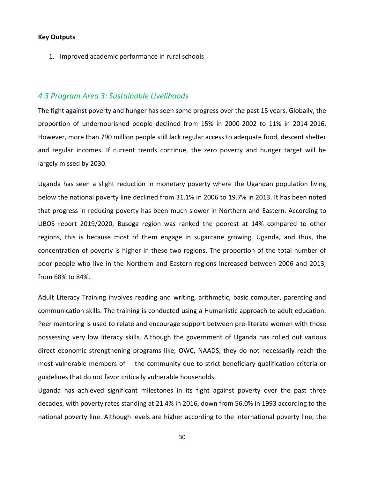#### **Key Outputs**

1. Improved academic performance in rural schools

#### <span id="page-29-0"></span>*4.3 Program Area 3: Sustainable Livelihoods*

The fight against poverty and hunger has seen some progress over the past 15 years. Globally, the proportion of undernourished people declined from 15% in 2000-2002 to 11% in 2014-2016. However, more than 790 million people still lack regular access to adequate food, descent shelter and regular incomes. If current trends continue, the zero poverty and hunger target will be largely missed by 2030.

Uganda has seen a slight reduction in monetary poverty where the Ugandan population living below the national poverty line declined from 31.1% in 2006 to 19.7% in 2013. It has been noted that progress in reducing poverty has been much slower in Northern and Eastern. According to UBOS report 2019/2020, Busoga region was ranked the poorest at 14% compared to other regions, this is because most of them engage in sugarcane growing. Uganda, and thus, the concentration of poverty is higher in these two regions. The proportion of the total number of poor people who live in the Northern and Eastern regions increased between 2006 and 2013, from 68% to 84%.

Adult Literacy Training involves reading and writing, arithmetic, basic computer, parenting and communication skills. The training is conducted using a Humanistic approach to adult education. Peer mentoring is used to relate and encourage support between pre-literate women with those possessing very low literacy skills. Although the government of Uganda has rolled out various direct economic strengthening programs like, OWC, NAADS, they do not necessarily reach the most vulnerable members of the community due to strict beneficiary qualification criteria or guidelines that do not favor critically vulnerable households.

Uganda has achieved significant milestones in its fight against poverty over the past three decades, with poverty rates standing at 21.4% in 2016, down from 56.0% in 1993 according to the national poverty line. Although levels are higher according to the international poverty line, the

30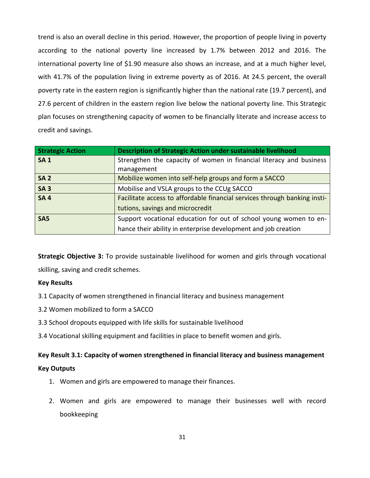trend is also an overall decline in this period. However, the proportion of people living in poverty according to the national poverty line increased by 1.7% between 2012 and 2016. The international poverty line of \$1.90 measure also shows an increase, and at a much higher level, with 41.7% of the population living in extreme poverty as of 2016. At 24.5 percent, the overall poverty rate in the eastern region is significantly higher than the national rate (19.7 percent), and 27.6 percent of children in the eastern region live below the national poverty line. This Strategic plan focuses on strengthening capacity of women to be financially literate and increase access to credit and savings.

| <b>Strategic Action</b> | Description of Strategic Action under sustainable livelihood              |
|-------------------------|---------------------------------------------------------------------------|
| <b>SA1</b>              | Strengthen the capacity of women in financial literacy and business       |
|                         | management                                                                |
| <b>SA 2</b>             | Mobilize women into self-help groups and form a SACCO                     |
| <b>SA3</b>              | Mobilise and VSLA groups to the CCUg SACCO                                |
| <b>SA4</b>              | Facilitate access to affordable financial services through banking insti- |
|                         | tutions, savings and microcredit                                          |
| SA <sub>5</sub>         | Support vocational education for out of school young women to en-         |
|                         | hance their ability in enterprise development and job creation            |

**Strategic Objective 3:** To provide sustainable livelihood for women and girls through vocational skilling, saving and credit schemes.

#### **Key Results**

- 3.1 Capacity of women strengthened in financial literacy and business management
- 3.2 Women mobilized to form a SACCO
- 3.3 School dropouts equipped with life skills for sustainable livelihood
- 3.4 Vocational skilling equipment and facilities in place to benefit women and girls.

#### **Key Result 3.1: Capacity of women strengthened in financial literacy and business management**

#### **Key Outputs**

- 1. Women and girls are empowered to manage their finances.
- 2. Women and girls are empowered to manage their businesses well with record bookkeeping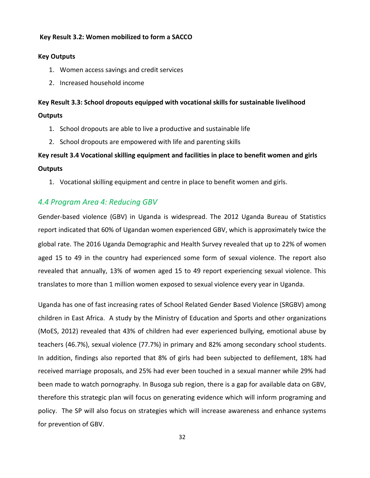#### **Key Result 3.2: Women mobilized to form a SACCO**

#### **Key Outputs**

- 1. Women access savings and credit services
- 2. Increased household income

# **Key Result 3.3: School dropouts equipped with vocational skills for sustainable livelihood Outputs**

- 1. School dropouts are able to live a productive and sustainable life
- 2. School dropouts are empowered with life and parenting skills

# **Key result 3.4 Vocational skilling equipment and facilities in place to benefit women and girls Outputs**

1. Vocational skilling equipment and centre in place to benefit women and girls.

# <span id="page-31-0"></span>*4.4 Program Area 4: Reducing GBV*

Gender-based violence (GBV) in Uganda is widespread. The 2012 Uganda Bureau of Statistics report indicated that 60% of Ugandan women experienced GBV, which is approximately twice the global rate. The 2016 Uganda Demographic and Health Survey revealed that up to 22% of women aged 15 to 49 in the country had experienced some form of sexual violence. The report also revealed that annually, 13% of women aged 15 to 49 report experiencing sexual violence. This translates to more than 1 million women exposed to sexual violence every year in Uganda.

Uganda has one of fast increasing rates of School Related Gender Based Violence (SRGBV) among children in East Africa. A study by the Ministry of Education and Sports and other organizations (MoES, 2012) revealed that 43% of children had ever experienced bullying, emotional abuse by teachers (46.7%), sexual violence (77.7%) in primary and 82% among secondary school students. In addition, findings also reported that 8% of girls had been subjected to defilement, 18% had received marriage proposals, and 25% had ever been touched in a sexual manner while 29% had been made to watch pornography. In Busoga sub region, there is a gap for available data on GBV, therefore this strategic plan will focus on generating evidence which will inform programing and policy. The SP will also focus on strategies which will increase awareness and enhance systems for prevention of GBV.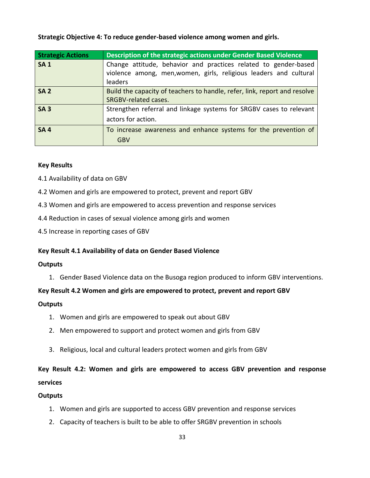#### **Strategic Objective 4: To reduce gender-based violence among women and girls.**

| <b>Strategic Actions</b> | Description of the strategic actions under Gender Based Violence          |
|--------------------------|---------------------------------------------------------------------------|
| <b>SA1</b>               | Change attitude, behavior and practices related to gender-based           |
|                          | violence among, men, women, girls, religious leaders and cultural         |
|                          | leaders                                                                   |
| <b>SA 2</b>              | Build the capacity of teachers to handle, refer, link, report and resolve |
|                          | SRGBV-related cases.                                                      |
| SA <sub>3</sub>          | Strengthen referral and linkage systems for SRGBV cases to relevant       |
|                          | actors for action.                                                        |
| <b>SA4</b>               | To increase awareness and enhance systems for the prevention of           |
|                          | <b>GBV</b>                                                                |

#### **Key Results**

- 4.1 Availability of data on GBV
- 4.2 Women and girls are empowered to protect, prevent and report GBV
- 4.3 Women and girls are empowered to access prevention and response services
- 4.4 Reduction in cases of sexual violence among girls and women
- 4.5 Increase in reporting cases of GBV

#### **Key Result 4.1 Availability of data on Gender Based Violence**

#### **Outputs**

1. Gender Based Violence data on the Busoga region produced to inform GBV interventions.

#### **Key Result 4.2 Women and girls are empowered to protect, prevent and report GBV**

#### **Outputs**

- 1. Women and girls are empowered to speak out about GBV
- 2. Men empowered to support and protect women and girls from GBV
- 3. Religious, local and cultural leaders protect women and girls from GBV

# **Key Result 4.2: Women and girls are empowered to access GBV prevention and response services**

#### **Outputs**

- 1. Women and girls are supported to access GBV prevention and response services
- 2. Capacity of teachers is built to be able to offer SRGBV prevention in schools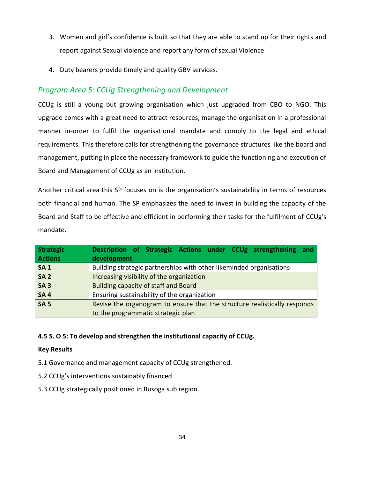- 3. Women and girl's confidence is built so that they are able to stand up for their rights and report against Sexual violence and report any form of sexual Violence
- 4. Duty bearers provide timely and quality GBV services.

# <span id="page-33-0"></span>*Program Area 5: CCUg Strengthening and Development*

CCUg is still a young but growing organisation which just upgraded from CBO to NGO. This upgrade comes with a great need to attract resources, manage the organisation in a professional manner in-order to fulfil the organisational mandate and comply to the legal and ethical requirements. This therefore calls for strengthening the governance structures like the board and management, putting in place the necessary framework to guide the functioning and execution of Board and Management of CCUg as an institution.

Another critical area this SP focuses on is the organisation's sustainability in terms of resources both financial and human. The SP emphasizes the need to invest in building the capacity of the Board and Staff to be effective and efficient in performing their tasks for the fulfilment of CCUg's mandate.

| Strategic      | Description of Strategic Actions under CCUg strengthening and             |
|----------------|---------------------------------------------------------------------------|
| <b>Actions</b> | development                                                               |
| <b>SA1</b>     | Building strategic partnerships with other likeminded organisations       |
| <b>SA 2</b>    | Increasing visibility of the organization                                 |
| <b>SA3</b>     | <b>Building capacity of staff and Board</b>                               |
| <b>SA4</b>     | Ensuring sustainability of the organization                               |
| <b>SA 5</b>    | Revise the organogram to ensure that the structure realistically responds |
|                | to the programmatic strategic plan                                        |

#### <span id="page-33-1"></span>**4.5 S. O 5: To develop and strengthen the institutional capacity of CCUg.**

#### **Key Results**

- 5.1 Governance and management capacity of CCUg strengthened.
- 5.2 CCUg's interventions sustainably financed
- 5.3 CCUg strategically positioned in Busoga sub region.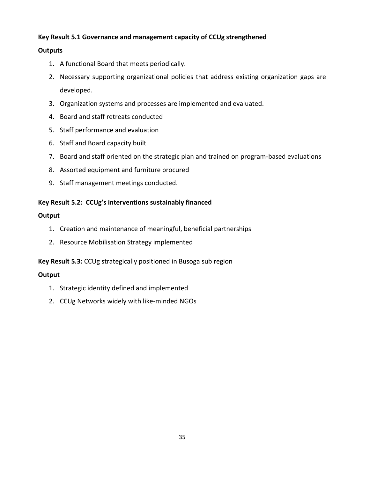## **Key Result 5.1 Governance and management capacity of CCUg strengthened**

## **Outputs**

- 1. A functional Board that meets periodically.
- 2. Necessary supporting organizational policies that address existing organization gaps are developed.
- 3. Organization systems and processes are implemented and evaluated.
- 4. Board and staff retreats conducted
- 5. Staff performance and evaluation
- 6. Staff and Board capacity built
- 7. Board and staff oriented on the strategic plan and trained on program-based evaluations
- 8. Assorted equipment and furniture procured
- 9. Staff management meetings conducted.

## **Key Result 5.2: CCUg's interventions sustainably financed**

## **Output**

- 1. Creation and maintenance of meaningful, beneficial partnerships
- 2. Resource Mobilisation Strategy implemented

## **Key Result 5.3:** CCUg strategically positioned in Busoga sub region

# **Output**

- 1. Strategic identity defined and implemented
- 2. CCUg Networks widely with like-minded NGOs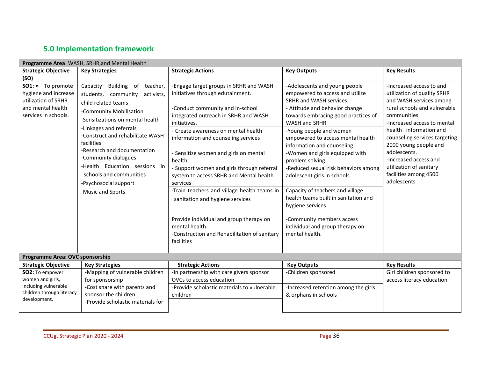# **5.0 Implementation framework**

<span id="page-35-0"></span>

| Programme Area: WASH, SRHR, and Mental Health                                                                         |                                                                                                                                                                                                                                                                                                                                                                                                           |                                                                                                                                                                                                                                                                                                                                                                                                                                                                                                                                                              |                                                                                                                                                                                                                                                                                                                                                                                                                                                                                                                                                                                 |                                                                                                                                                                                                                                                                                                                                                                  |
|-----------------------------------------------------------------------------------------------------------------------|-----------------------------------------------------------------------------------------------------------------------------------------------------------------------------------------------------------------------------------------------------------------------------------------------------------------------------------------------------------------------------------------------------------|--------------------------------------------------------------------------------------------------------------------------------------------------------------------------------------------------------------------------------------------------------------------------------------------------------------------------------------------------------------------------------------------------------------------------------------------------------------------------------------------------------------------------------------------------------------|---------------------------------------------------------------------------------------------------------------------------------------------------------------------------------------------------------------------------------------------------------------------------------------------------------------------------------------------------------------------------------------------------------------------------------------------------------------------------------------------------------------------------------------------------------------------------------|------------------------------------------------------------------------------------------------------------------------------------------------------------------------------------------------------------------------------------------------------------------------------------------------------------------------------------------------------------------|
| <b>Strategic Objective</b>                                                                                            | <b>Key Strategies</b>                                                                                                                                                                                                                                                                                                                                                                                     | <b>Strategic Actions</b>                                                                                                                                                                                                                                                                                                                                                                                                                                                                                                                                     | <b>Key Outputs</b>                                                                                                                                                                                                                                                                                                                                                                                                                                                                                                                                                              | <b>Key Results</b>                                                                                                                                                                                                                                                                                                                                               |
| (SO)<br>SO1: • To promote<br>hygiene and increase<br>utilization of SRHR<br>and mental health<br>services in schools. | Building of teacher,<br>Capacity<br>students, community<br>activists,<br>child related teams<br>-Community Mobilisation<br>-Sensitizations on mental health<br>-Linkages and referrals<br>-Construct and rehabilitate WASH<br>facilities<br>-Research and documentation<br>-Community dialogues<br>-Health Education sessions in<br>schools and communities<br>-Psychosocial support<br>-Music and Sports | -Engage target groups in SRHR and WASH<br>initiatives through edutainment.<br>-Conduct community and in-school<br>integrated outreach in SRHR and WASH<br>initiatives.<br>- Create awareness on mental health<br>information and counseling services<br>- Sensitize women and girls on mental<br>health.<br>- Support women and girls through referral<br>system to access SRHR and Mental health<br>services<br>-Train teachers and village health teams in<br>sanitation and hygiene services<br>Provide individual and group therapy on<br>mental health. | -Adolescents and young people<br>empowered to access and utilize<br>SRHR and WASH services.<br>- Attitude and behavior change<br>towards embracing good practices of<br>WASH and SRHR<br>-Young people and women<br>empowered to access mental health<br>information and counseling<br>-Women and girls equipped with<br>problem solving<br>-Reduced sexual risk behaviors among<br>adolescent girls in schools<br>Capacity of teachers and village<br>health teams built in sanitation and<br>hygiene services<br>-Community members access<br>individual and group therapy on | -Increased access to and<br>utilization of quality SRHR<br>and WASH services among<br>rural schools and vulnerable<br>communities<br>-Increased access to mental<br>health information and<br>counseling services targeting<br>2000 young people and<br>adolescents.<br>-Increased access and<br>utilization of sanitary<br>facilities among 4500<br>adolescents |
|                                                                                                                       |                                                                                                                                                                                                                                                                                                                                                                                                           | -Construction and Rehabilitation of sanitary<br>facilities                                                                                                                                                                                                                                                                                                                                                                                                                                                                                                   | mental health.                                                                                                                                                                                                                                                                                                                                                                                                                                                                                                                                                                  |                                                                                                                                                                                                                                                                                                                                                                  |
| Programme Area: OVC sponsorship                                                                                       |                                                                                                                                                                                                                                                                                                                                                                                                           |                                                                                                                                                                                                                                                                                                                                                                                                                                                                                                                                                              |                                                                                                                                                                                                                                                                                                                                                                                                                                                                                                                                                                                 |                                                                                                                                                                                                                                                                                                                                                                  |
| <b>Strategic Objective</b>                                                                                            | <b>Key Strategies</b>                                                                                                                                                                                                                                                                                                                                                                                     | <b>Strategic Actions</b>                                                                                                                                                                                                                                                                                                                                                                                                                                                                                                                                     | <b>Key Outputs</b>                                                                                                                                                                                                                                                                                                                                                                                                                                                                                                                                                              | <b>Key Results</b>                                                                                                                                                                                                                                                                                                                                               |
| SO2: To empower<br>women and girls,                                                                                   | -Mapping of vulnerable children<br>for sponsorship                                                                                                                                                                                                                                                                                                                                                        | -In partnership with care givers sponsor<br>OVCs to access education                                                                                                                                                                                                                                                                                                                                                                                                                                                                                         | -Children sponsored                                                                                                                                                                                                                                                                                                                                                                                                                                                                                                                                                             | Girl children sponsored to<br>access literacy education                                                                                                                                                                                                                                                                                                          |
| including vulnerable<br>children through literacy<br>development.                                                     | -Cost share with parents and<br>sponsor the children<br>-Provide scholastic materials for                                                                                                                                                                                                                                                                                                                 | -Provide scholastic materials to vulnerable<br>children                                                                                                                                                                                                                                                                                                                                                                                                                                                                                                      | -Increased retention among the girls<br>& orphans in schools                                                                                                                                                                                                                                                                                                                                                                                                                                                                                                                    |                                                                                                                                                                                                                                                                                                                                                                  |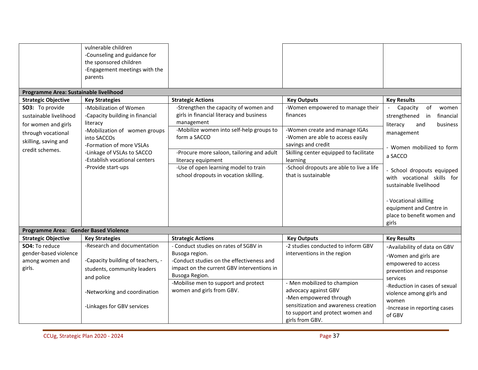|                                                                      | vulnerable children<br>-Counseling and guidance for<br>the sponsored children<br>-Engagement meetings with the<br>parents |                                                                                                                                                                      |                                                                                                                                                                              |                                                                                                                    |
|----------------------------------------------------------------------|---------------------------------------------------------------------------------------------------------------------------|----------------------------------------------------------------------------------------------------------------------------------------------------------------------|------------------------------------------------------------------------------------------------------------------------------------------------------------------------------|--------------------------------------------------------------------------------------------------------------------|
| Programme Area: Sustainable livelihood                               |                                                                                                                           |                                                                                                                                                                      |                                                                                                                                                                              |                                                                                                                    |
| <b>Strategic Objective</b><br>SO3: To provide                        | <b>Key Strategies</b><br>-Mobilization of Women                                                                           | <b>Strategic Actions</b><br>-Strengthen the capacity of women and                                                                                                    | <b>Key Outputs</b><br>-Women empowered to manage their                                                                                                                       | <b>Key Results</b><br>of<br>Capacity<br>women                                                                      |
| sustainable livelihood                                               | -Capacity building in financial<br>literacy                                                                               | girls in financial literacy and business<br>management                                                                                                               | finances                                                                                                                                                                     | strengthened in<br>financial<br>literacy                                                                           |
| for women and girls<br>through vocational<br>skilling, saving and    | -Mobilization of women groups<br>into SACCOs<br>-Formation of more VSLAs                                                  | -Mobilize women into self-help groups to<br>form a SACCO                                                                                                             | -Women create and manage IGAs<br>-Women are able to access easily<br>savings and credit                                                                                      | business<br>and<br>management<br>- Women mobilized to form                                                         |
| credit schemes.                                                      | -Linkage of VSLAs to SACCO<br>-Establish vocational centers                                                               | -Procure more saloon, tailoring and adult<br>literacy equipment                                                                                                      | Skilling center equipped to facilitate<br>learning                                                                                                                           | a SACCO                                                                                                            |
|                                                                      | -Provide start-ups                                                                                                        | -Use of open learning model to train<br>school dropouts in vocation skilling.                                                                                        | -School dropouts are able to live a life<br>that is sustainable                                                                                                              | - School dropouts equipped<br>with vocational skills for<br>sustainable livelihood                                 |
|                                                                      |                                                                                                                           |                                                                                                                                                                      |                                                                                                                                                                              | - Vocational skilling<br>equipment and Centre in<br>place to benefit women and<br>girls                            |
| Programme Area: Gender Based Violence                                |                                                                                                                           |                                                                                                                                                                      |                                                                                                                                                                              |                                                                                                                    |
| <b>Strategic Objective</b>                                           | <b>Key Strategies</b>                                                                                                     | <b>Strategic Actions</b>                                                                                                                                             | <b>Key Outputs</b>                                                                                                                                                           | <b>Key Results</b>                                                                                                 |
| SO4: To reduce<br>gender-based violence<br>among women and<br>girls. | -Research and documentation<br>-Capacity building of teachers, -<br>students, community leaders<br>and police             | - Conduct studies on rates of SGBV in<br>Busoga region.<br>-Conduct studies on the effectiveness and<br>impact on the current GBV interventions in<br>Busoga Region. | -2 studies conducted to inform GBV<br>interventions in the region                                                                                                            | -Availability of data on GBV<br>-Women and girls are<br>empowered to access<br>prevention and response<br>services |
|                                                                      | -Networking and coordination<br>-Linkages for GBV services                                                                | -Mobilise men to support and protect<br>women and girls from GBV.                                                                                                    | - Men mobilized to champion<br>advocacy against GBV<br>-Men empowered through<br>sensitization and awareness creation<br>to support and protect women and<br>girls from GBV. | -Reduction in cases of sexual<br>violence among girls and<br>women<br>-Increase in reporting cases<br>of GBV       |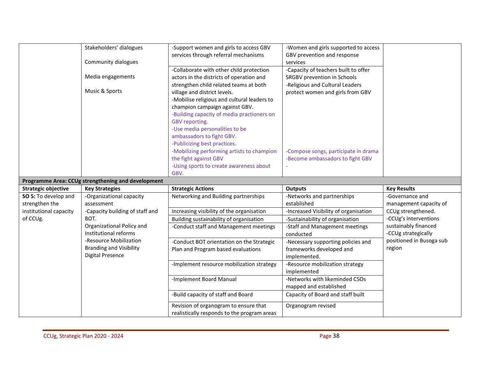|                            | Stakeholders' dialogues                            | -Support women and girls to access GBV      | -Women and girls supported to access  |                          |
|----------------------------|----------------------------------------------------|---------------------------------------------|---------------------------------------|--------------------------|
|                            |                                                    | services through referral mechanisms        | GBV prevention and response           |                          |
|                            | Community dialogues                                |                                             | services                              |                          |
|                            |                                                    | -Collaborate with other child protection    | -Capacity of teachers built to offer  |                          |
|                            | Media engagements                                  | actors in the districts of operation and    | SRGBV prevention in Schools           |                          |
|                            |                                                    | strengthen child related teams at both      | -Religious and Cultural Leaders       |                          |
|                            | Music & Sports                                     | village and district levels.                | protect women and girls from GBV      |                          |
|                            |                                                    | -Mobilise religious and cultural leaders to |                                       |                          |
|                            |                                                    | champion campaign against GBV.              |                                       |                          |
|                            |                                                    | -Building capacity of media practioners on  |                                       |                          |
|                            |                                                    | GBV reporting.                              |                                       |                          |
|                            |                                                    | -Use media personalities to be              |                                       |                          |
|                            |                                                    | ambassadors to fight GBV.                   |                                       |                          |
|                            |                                                    | -Publicizing best practices.                |                                       |                          |
|                            |                                                    | -Mobilizing performing artists to champion  | -Compose songs, participate in drama  |                          |
|                            |                                                    | the fight against GBV                       | -Become ambassadors to fight GBV      |                          |
|                            |                                                    | -Using sports to create awareness about     |                                       |                          |
|                            |                                                    | GBV.                                        |                                       |                          |
|                            | Programme Area: CCUg strengthening and development |                                             |                                       |                          |
|                            |                                                    |                                             |                                       |                          |
| <b>Strategic objective</b> | <b>Key Strategies</b>                              | <b>Strategic Actions</b>                    | <b>Outputs</b>                        | <b>Key Results</b>       |
| SO 5: To develop and       | -Organizational capacity                           | Networking and Building partnerships        | -Networks and partnerships            | -Governance and          |
| strengthen the             | assessment                                         |                                             | established                           | management capacity of   |
| institutional capacity     | -Capacity building of staff and                    | Increasing visibility of the organisation   | -Increased Visibility of organisation | CCUg strengthened.       |
| of CCUg.                   | BOT.                                               | Building sustainability of organisation     | -Sustainability of organisation       | -CCUg's interventions    |
|                            | Organizational Policy and                          | -Conduct staff and Management meetings      | -Staff and Management meetings        | sustainably financed     |
|                            | Institutional reforms                              |                                             | conducted                             | -CCUg strategically      |
|                            | -Resource Mobilization                             | -Conduct BOT orientation on the Strategic   | -Necessary supporting policies and    | positioned in Busoga sub |
|                            | <b>Branding and Visibility</b>                     | Plan and Program based evaluations          | frameworks developed and              | region                   |
|                            | <b>Digital Presence</b>                            |                                             | implemented.                          |                          |
|                            |                                                    | -Implement resource mobilization strategy   | -Resource mobilization strategy       |                          |
|                            |                                                    |                                             | implemented                           |                          |
|                            |                                                    | -Implement Board Manual                     | -Networks with likeminded CSOs        |                          |
|                            |                                                    |                                             | mapped and established                |                          |
|                            |                                                    | -Build capacity of staff and Board          | Capacity of Board and staff built     |                          |
|                            |                                                    | Revision of organogram to ensure that       | Organogram revised                    |                          |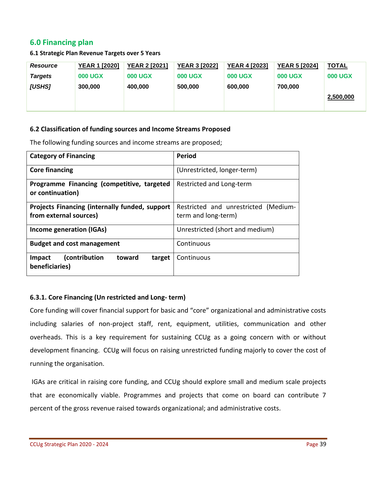# <span id="page-38-0"></span>**6.0 Financing plan**

#### **6.1 Strategic Plan Revenue Targets over 5 Years**

| <b>Resource</b> | <b>YEAR 1 [2020]</b> | <b>YEAR 2 [2021]</b> | <b>YEAR 3 [2022]</b> | <b>YEAR 4 [2023]</b> | <b>YEAR 5 [2024]</b> | <b>TOTAL</b>   |
|-----------------|----------------------|----------------------|----------------------|----------------------|----------------------|----------------|
| <b>Targets</b>  | <b>000 UGX</b>       | <b>000 UGX</b>       | <b>000 UGX</b>       | <b>000 UGX</b>       | <b>000 UGX</b>       | <b>000 UGX</b> |
| <b>[USHS]</b>   | 300,000              | 400.000              | 500,000              | 600,000              | 700,000              |                |
|                 |                      |                      |                      |                      |                      | 2,500,000      |
|                 |                      |                      |                      |                      |                      |                |

#### **6.2 Classification of funding sources and Income Streams Proposed**

The following funding sources and income streams are proposed;

| <b>Category of Financing</b>                                   | <b>Period</b>                        |  |  |  |  |  |
|----------------------------------------------------------------|--------------------------------------|--|--|--|--|--|
| <b>Core financing</b>                                          | (Unrestricted, longer-term)          |  |  |  |  |  |
| Programme Financing (competitive, targeted<br>or continuation) | Restricted and Long-term             |  |  |  |  |  |
| <b>Projects Financing (internally funded, support</b>          | Restricted and unrestricted (Medium- |  |  |  |  |  |
| from external sources)                                         | term and long-term)                  |  |  |  |  |  |
| Income generation (IGAs)                                       | Unrestricted (short and medium)      |  |  |  |  |  |
| <b>Budget and cost management</b>                              | Continuous                           |  |  |  |  |  |
| (contribution<br>toward<br>target<br>Impact<br>beneficiaries)  | Continuous                           |  |  |  |  |  |

## **6.3.1. Core Financing (Un restricted and Long- term)**

Core funding will cover financial support for basic and "core" organizational and administrative costs including salaries of non-project staff, rent, equipment, utilities, communication and other overheads. This is a key requirement for sustaining CCUg as a going concern with or without development financing. CCUg will focus on raising unrestricted funding majorly to cover the cost of running the organisation.

IGAs are critical in raising core funding, and CCUg should explore small and medium scale projects that are economically viable. Programmes and projects that come on board can contribute 7 percent of the gross revenue raised towards organizational; and administrative costs.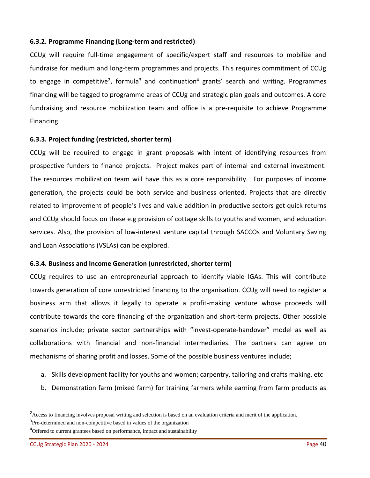#### **6.3.2. Programme Financing (Long-term and restricted)**

CCUg will require full-time engagement of specific/expert staff and resources to mobilize and fundraise for medium and long-term programmes and projects. This requires commitment of CCUg to engage in competitive<sup>2</sup>, formula<sup>3</sup> and continuation<sup>4</sup> grants' search and writing. Programmes financing will be tagged to programme areas of CCUg and strategic plan goals and outcomes. A core fundraising and resource mobilization team and office is a pre-requisite to achieve Programme Financing.

#### **6.3.3. Project funding (restricted, shorter term)**

CCUg will be required to engage in grant proposals with intent of identifying resources from prospective funders to finance projects. Project makes part of internal and external investment. The resources mobilization team will have this as a core responsibility. For purposes of income generation, the projects could be both service and business oriented. Projects that are directly related to improvement of people's lives and value addition in productive sectors get quick returns and CCUg should focus on these e.g provision of cottage skills to youths and women, and education services. Also, the provision of low-interest venture capital through SACCOs and Voluntary Saving and Loan Associations (VSLAs) can be explored.

#### **6.3.4. Business and Income Generation (unrestricted, shorter term)**

CCUg requires to use an entrepreneurial approach to identify viable IGAs. This will contribute towards generation of core unrestricted financing to the organisation. CCUg will need to register a business arm that allows it legally to operate a profit-making venture whose proceeds will contribute towards the core financing of the organization and short-term projects. Other possible scenarios include; private sector partnerships with "invest-operate-handover" model as well as collaborations with financial and non-financial intermediaries. The partners can agree on mechanisms of sharing profit and losses. Some of the possible business ventures include;

- a. Skills development facility for youths and women; carpentry, tailoring and crafts making, etc
- b. Demonstration farm (mixed farm) for training farmers while earning from farm products as

<sup>&</sup>lt;sup>2</sup>Access to financing involves proposal writing and selection is based on an evaluation criteria and merit of the application. <sup>3</sup>Pre-determined and non-competitive based in values of the organization

<sup>&</sup>lt;sup>4</sup>Offered to current grantees based on performance, impact and sustainability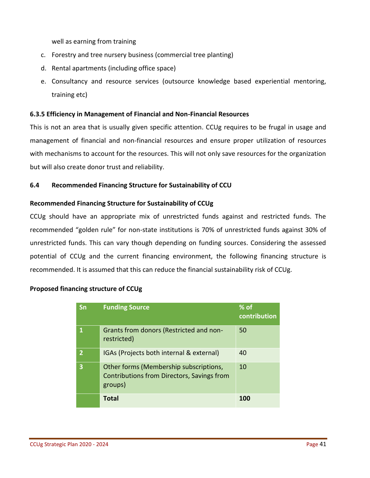well as earning from training

- c. Forestry and tree nursery business (commercial tree planting)
- d. Rental apartments (including office space)
- e. Consultancy and resource services (outsource knowledge based experiential mentoring, training etc)

#### **6.3.5 Efficiency in Management of Financial and Non-Financial Resources**

This is not an area that is usually given specific attention. CCUg requires to be frugal in usage and management of financial and non-financial resources and ensure proper utilization of resources with mechanisms to account for the resources. This will not only save resources for the organization but will also create donor trust and reliability.

#### **6.4 Recommended Financing Structure for Sustainability of CCU**

#### **Recommended Financing Structure for Sustainability of CCUg**

CCUg should have an appropriate mix of unrestricted funds against and restricted funds. The recommended "golden rule" for non-state institutions is 70% of unrestricted funds against 30% of unrestricted funds. This can vary though depending on funding sources. Considering the assessed potential of CCUg and the current financing environment, the following financing structure is recommended. It is assumed that this can reduce the financial sustainability risk of CCUg.

#### **Proposed financing structure of CCUg**

| Sn | <b>Funding Source</b>                                                                                  | $%$ of<br>contribution |
|----|--------------------------------------------------------------------------------------------------------|------------------------|
|    | Grants from donors (Restricted and non-<br>restricted)                                                 | 50                     |
|    | IGAs (Projects both internal & external)                                                               | 40                     |
| 3  | Other forms (Membership subscriptions,<br><b>Contributions from Directors, Savings from</b><br>groups) | 10                     |
|    | <b>Total</b>                                                                                           | 100                    |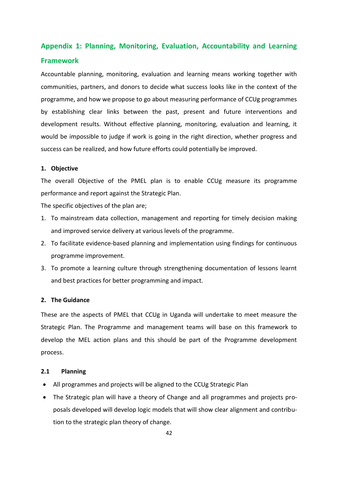# <span id="page-41-0"></span>**Appendix 1: Planning, Monitoring, Evaluation, Accountability and Learning Framework**

Accountable planning, monitoring, evaluation and learning means working together with communities, partners, and donors to decide what success looks like in the context of the programme, and how we propose to go about measuring performance of CCUg programmes by establishing clear links between the past, present and future interventions and development results. Without effective planning, monitoring, evaluation and learning, it would be impossible to judge if work is going in the right direction, whether progress and success can be realized, and how future efforts could potentially be improved.

#### **1. Objective**

The overall Objective of the PMEL plan is to enable CCUg measure its programme performance and report against the Strategic Plan.

The specific objectives of the plan are;

- 1. To mainstream data collection, management and reporting for timely decision making and improved service delivery at various levels of the programme.
- 2. To facilitate evidence-based planning and implementation using findings for continuous programme improvement.
- 3. To promote a learning culture through strengthening documentation of lessons learnt and best practices for better programming and impact.

#### **2. The Guidance**

These are the aspects of PMEL that CCUg in Uganda will undertake to meet measure the Strategic Plan. The Programme and management teams will base on this framework to develop the MEL action plans and this should be part of the Programme development process.

#### **2.1 Planning**

- All programmes and projects will be aligned to the CCUg Strategic Plan
- The Strategic plan will have a theory of Change and all programmes and projects proposals developed will develop logic models that will show clear alignment and contribution to the strategic plan theory of change.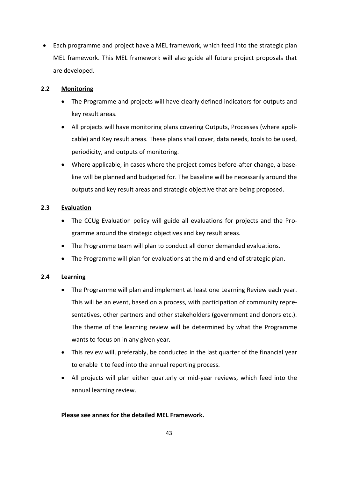• Each programme and project have a MEL framework, which feed into the strategic plan MEL framework. This MEL framework will also guide all future project proposals that are developed.

#### **2.2 Monitoring**

- The Programme and projects will have clearly defined indicators for outputs and key result areas.
- All projects will have monitoring plans covering Outputs, Processes (where applicable) and Key result areas. These plans shall cover, data needs, tools to be used, periodicity, and outputs of monitoring.
- Where applicable, in cases where the project comes before-after change, a baseline will be planned and budgeted for. The baseline will be necessarily around the outputs and key result areas and strategic objective that are being proposed.

## **2.3 Evaluation**

- The CCUg Evaluation policy will guide all evaluations for projects and the Programme around the strategic objectives and key result areas.
- The Programme team will plan to conduct all donor demanded evaluations.
- The Programme will plan for evaluations at the mid and end of strategic plan.

## **2.4 Learning**

- The Programme will plan and implement at least one Learning Review each year. This will be an event, based on a process, with participation of community representatives, other partners and other stakeholders (government and donors etc.). The theme of the learning review will be determined by what the Programme wants to focus on in any given year.
- This review will, preferably, be conducted in the last quarter of the financial year to enable it to feed into the annual reporting process.
- All projects will plan either quarterly or mid-year reviews, which feed into the annual learning review.

#### **Please see annex for the detailed MEL Framework.**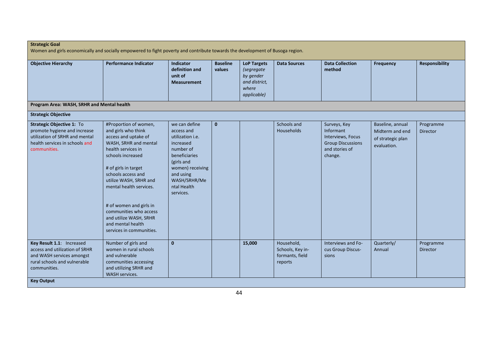| <b>Strategic Goal</b><br>Women and girls economically and socially empowered to fight poverty and contribute towards the development of Busoga region. |                                                                                                                                                                                                                                                                                                                                                                             |                                                                                                                                                                                              |                           |                                                                                        |                                                              |                                                                                                         |                                                                         |                       |  |  |
|--------------------------------------------------------------------------------------------------------------------------------------------------------|-----------------------------------------------------------------------------------------------------------------------------------------------------------------------------------------------------------------------------------------------------------------------------------------------------------------------------------------------------------------------------|----------------------------------------------------------------------------------------------------------------------------------------------------------------------------------------------|---------------------------|----------------------------------------------------------------------------------------|--------------------------------------------------------------|---------------------------------------------------------------------------------------------------------|-------------------------------------------------------------------------|-----------------------|--|--|
| <b>Objective Hierarchy</b>                                                                                                                             | <b>Performance Indicator</b>                                                                                                                                                                                                                                                                                                                                                | <b>Indicator</b><br>definition and<br>unit of<br><b>Measurement</b>                                                                                                                          | <b>Baseline</b><br>values | <b>LoP Targets</b><br>(segregate<br>by gender<br>and district,<br>where<br>applicable) | <b>Data Sources</b>                                          | <b>Data Collection</b><br>method                                                                        | <b>Frequency</b>                                                        | <b>Responsibility</b> |  |  |
| Program Area: WASH, SRHR and Mental health                                                                                                             |                                                                                                                                                                                                                                                                                                                                                                             |                                                                                                                                                                                              |                           |                                                                                        |                                                              |                                                                                                         |                                                                         |                       |  |  |
| <b>Strategic Objective</b>                                                                                                                             |                                                                                                                                                                                                                                                                                                                                                                             |                                                                                                                                                                                              |                           |                                                                                        |                                                              |                                                                                                         |                                                                         |                       |  |  |
| Strategic Objective 1: To<br>promote hygiene and increase<br>utilization of SRHR and mental<br>health services in schools and<br>communities.          | #Proportion of women,<br>and girls who think<br>access and uptake of<br>WASH, SRHR and mental<br>health services in<br>schools increased<br># of girls in target<br>schools access and<br>utilize WASH, SRHR and<br>mental health services.<br># of women and girls in<br>communities who access<br>and utilize WASH, SRHR<br>and mental health<br>services in communities. | we can define<br>access and<br>utilization <i>i.e.</i><br>increased<br>number of<br>beneficiaries<br>(girls and<br>women) receiving<br>and using<br>WASH/SRHR/Me<br>ntal Health<br>services. | $\mathbf{0}$              |                                                                                        | Schools and<br>Households                                    | Surveys, Key<br>Informant<br>Interviews, Focus<br><b>Group Discussions</b><br>and stories of<br>change. | Baseline, annual<br>Midterm and end<br>of strategic plan<br>evaluation. | Programme<br>Director |  |  |
| Key Result 1.1: Increased<br>access and utilization of SRHR<br>and WASH services amongst<br>rural schools and vulnerable<br>communities.               | Number of girls and<br>women in rural schools<br>and vulnerable<br>communities accessing<br>and utilizing SRHR and<br>WASH services.                                                                                                                                                                                                                                        | $\mathbf{0}$                                                                                                                                                                                 |                           | 15,000                                                                                 | Household,<br>Schools, Key in-<br>formants, field<br>reports | Interviews and Fo-<br>cus Group Discus-<br>sions                                                        | Quarterly/<br>Annual                                                    | Programme<br>Director |  |  |
| <b>Key Output</b>                                                                                                                                      |                                                                                                                                                                                                                                                                                                                                                                             |                                                                                                                                                                                              |                           |                                                                                        |                                                              |                                                                                                         |                                                                         |                       |  |  |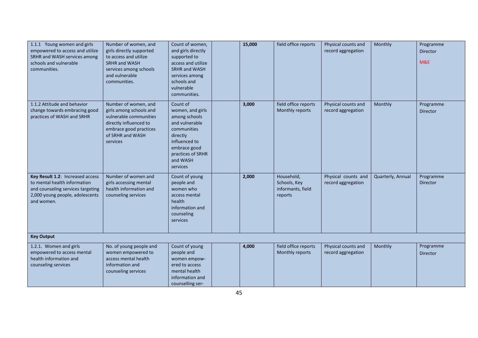| 1.1.1 Young women and girls<br>empowered to access and utilize<br>SRHR and WASH services among<br>schools and vulnerable<br>communities.               | Number of women, and<br>girls directly supported<br>to access and utilize<br><b>SRHR and WASH</b><br>services among schools<br>and vulnerable<br>communities. | Count of women,<br>and girls directly<br>supported to<br>access and utilize<br><b>SRHR and WASH</b><br>services among<br>schools and<br>vulnerable<br>communities.       | 15,000 | field office reports                                       | Physical counts and<br>record aggregation | Monthly           | Programme<br>Director<br>M&E |
|--------------------------------------------------------------------------------------------------------------------------------------------------------|---------------------------------------------------------------------------------------------------------------------------------------------------------------|--------------------------------------------------------------------------------------------------------------------------------------------------------------------------|--------|------------------------------------------------------------|-------------------------------------------|-------------------|------------------------------|
| 1.1.2 Attitude and behavior<br>change towards embracing good<br>practices of WASH and SRHR                                                             | Number of women, and<br>girls among schools and<br>vulnerable communities<br>directly influenced to<br>embrace good practices<br>of SRHR and WASH<br>services | Count of<br>women, and girls<br>among schools<br>and vulnerable<br>communities<br>directly<br>influenced to<br>embrace good<br>practices of SRHR<br>and WASH<br>services | 3,000  | field office reports<br>Monthly reports                    | Physical counts and<br>record aggregation | Monthly           | Programme<br>Director        |
| Key Result 1.2: Increased access<br>to mental health information<br>and counseling services targeting<br>2,000 young people, adolescents<br>and women. | Number of women and<br>girls accessing mental<br>health information and<br>counseling services                                                                | Count of young<br>people and<br>women who<br>access mental<br>health<br>information and<br>counseling<br>services                                                        | 2,000  | Household,<br>Schools, Key<br>informants, field<br>reports | Physical counts and<br>record aggregation | Quarterly, Annual | Programme<br>Director        |
| <b>Key Output</b>                                                                                                                                      |                                                                                                                                                               |                                                                                                                                                                          |        |                                                            |                                           |                   |                              |
| 1.2.1. Women and girls<br>empowered to access mental<br>health information and<br>counseling services                                                  | No. of young people and<br>women empowered to<br>access mental health<br>information and<br>counseling services                                               | Count of young<br>people and<br>women empow-<br>ered to access<br>mental health<br>information and<br>counselling ser-                                                   | 4,000  | field office reports<br>Monthly reports                    | Physical counts and<br>record aggregation | Monthly           | Programme<br>Director        |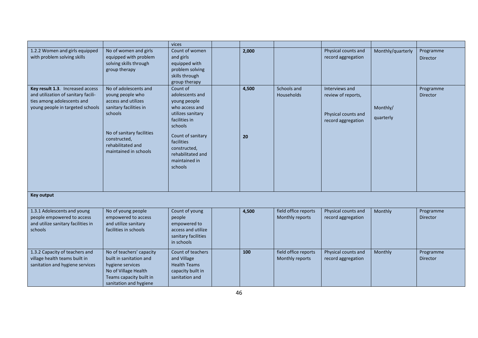|                                                                                                                                           |                                                                                                                                                                                                  | vices                                                                                                                                                                                                              |             |                                         |                                                                                   |                       |                       |
|-------------------------------------------------------------------------------------------------------------------------------------------|--------------------------------------------------------------------------------------------------------------------------------------------------------------------------------------------------|--------------------------------------------------------------------------------------------------------------------------------------------------------------------------------------------------------------------|-------------|-----------------------------------------|-----------------------------------------------------------------------------------|-----------------------|-----------------------|
| 1.2.2 Women and girls equipped<br>with problem solving skills                                                                             | No of women and girls<br>equipped with problem<br>solving skills through<br>group therapy                                                                                                        | Count of women<br>and girls<br>equipped with<br>problem solving<br>skills through<br>group therapy                                                                                                                 | 2,000       |                                         | Physical counts and<br>record aggregation                                         | Monthly/quarterly     | Programme<br>Director |
| Key result 1.3. Increased access<br>and utilization of sanitary facili-<br>ties among adolescents and<br>young people in targeted schools | No of adolescents and<br>young people who<br>access and utilizes<br>sanitary facilities in<br>schools<br>No of sanitary facilities<br>constructed,<br>rehabilitated and<br>maintained in schools | Count of<br>adolescents and<br>young people<br>who access and<br>utilizes sanitary<br>facilities in<br>schools<br>Count of sanitary<br>facilities<br>constructed,<br>rehabilitated and<br>maintained in<br>schools | 4,500<br>20 | Schools and<br>Households               | Interviews and<br>review of reports,<br>Physical counts and<br>record aggregation | Monthly/<br>quarterly | Programme<br>Director |
| <b>Key output</b>                                                                                                                         |                                                                                                                                                                                                  |                                                                                                                                                                                                                    |             |                                         |                                                                                   |                       |                       |
| 1.3.1 Adolescents and young<br>people empowered to access<br>and utilize sanitary facilities in<br>schools                                | No of young people<br>empowered to access<br>and utilize sanitary<br>facilities in schools                                                                                                       | Count of young<br>people<br>empowered to<br>access and utilize<br>sanitary facilities<br>in schools                                                                                                                | 4,500       | field office reports<br>Monthly reports | Physical counts and<br>record aggregation                                         | Monthly               | Programme<br>Director |
| 1.3.2 Capacity of teachers and<br>village health teams built in<br>sanitation and hygiene services                                        | No of teachers' capacity<br>built in sanitation and<br>hygiene services<br>No of Village Health<br>Teams capacity built in<br>sanitation and hygiene                                             | Count of teachers<br>and Village<br><b>Health Teams</b><br>capacity built in<br>sanitation and                                                                                                                     | 100         | field office reports<br>Monthly reports | Physical counts and<br>record aggregation                                         | Monthly               | Programme<br>Director |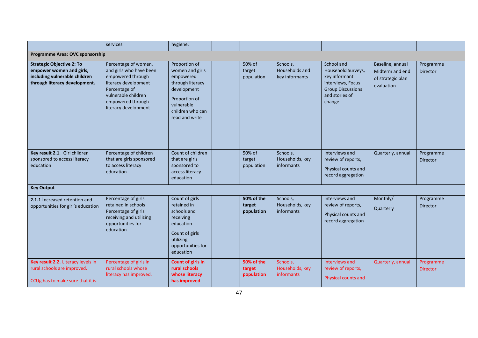|                                                                                                                                | services                                                                                                                                                                          | hygiene.                                                                                                                                              |                                    |                                              |                                                                                                                                |                                                                        |                              |
|--------------------------------------------------------------------------------------------------------------------------------|-----------------------------------------------------------------------------------------------------------------------------------------------------------------------------------|-------------------------------------------------------------------------------------------------------------------------------------------------------|------------------------------------|----------------------------------------------|--------------------------------------------------------------------------------------------------------------------------------|------------------------------------------------------------------------|------------------------------|
| Programme Area: OVC sponsorship                                                                                                |                                                                                                                                                                                   |                                                                                                                                                       |                                    |                                              |                                                                                                                                |                                                                        |                              |
| <b>Strategic Objective 2: To</b><br>empower women and girls,<br>including vulnerable children<br>through literacy development. | Percentage of women,<br>and girls who have been<br>empowered through<br>literacy development<br>Percentage of<br>vulnerable children<br>empowered through<br>literacy development | Proportion of<br>women and girls<br>empowered<br>through literacy<br>development<br>Proportion of<br>vulnerable<br>children who can<br>read and write | 50% of<br>target<br>population     | Schools,<br>Households and<br>key informants | School and<br>Household Surveys,<br>key informant<br>interviews, Focus<br><b>Group Discussions</b><br>and stories of<br>change | Baseline, annual<br>Midterm and end<br>of strategic plan<br>evaluation | Programme<br>Director        |
| Key result 2.1. Girl children<br>sponsored to access literacy<br>education                                                     | Percentage of children<br>that are girls sponsored<br>to access literacy<br>education                                                                                             | Count of children<br>that are girls<br>sponsored to<br>access literacy<br>education                                                                   | 50% of<br>target<br>population     | Schools,<br>Households, key<br>informants    | Interviews and<br>review of reports,<br>Physical counts and<br>record aggregation                                              | Quarterly, annual                                                      | Programme<br><b>Director</b> |
| <b>Key Output</b>                                                                                                              |                                                                                                                                                                                   |                                                                                                                                                       |                                    |                                              |                                                                                                                                |                                                                        |                              |
| 2.1.1 Increased retention and<br>opportunities for girl's education                                                            | Percentage of girls<br>retained in schools<br>Percentage of girls<br>receiving and utilizing<br>opportunities for<br>education                                                    | Count of girls<br>retained in<br>schools and<br>receiving<br>education<br>Count of girls<br>utilizing<br>opportunities for<br>education               | 50% of the<br>target<br>population | Schools,<br>Households, key<br>informants    | Interviews and<br>review of reports,<br>Physical counts and<br>record aggregation                                              | Monthly/<br>Quarterly                                                  | Programme<br><b>Director</b> |
| Key result 2.2. Literacy levels in<br>rural schools are improved.<br>CCUg has to make sure that it is                          | Percentage of girls in<br>rural schools whose<br>literacy has improved.                                                                                                           | Count of girls in<br>rural schools<br>whose literacy<br>has improved                                                                                  | 50% of the<br>target<br>population | Schools,<br>Households, key<br>informants    | Interviews and<br>review of reports,<br>Physical counts and                                                                    | Quarterly, annual                                                      | Programme<br><b>Director</b> |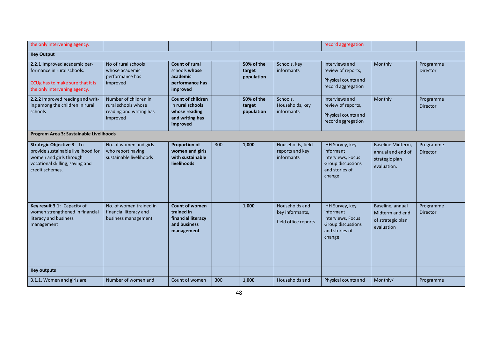| the only intervening agency.                                                                                                                     |                                                                                     |                                                                                              |     |                                    |                                                           | record aggregation                                                                                       |                                                                         |                              |  |  |
|--------------------------------------------------------------------------------------------------------------------------------------------------|-------------------------------------------------------------------------------------|----------------------------------------------------------------------------------------------|-----|------------------------------------|-----------------------------------------------------------|----------------------------------------------------------------------------------------------------------|-------------------------------------------------------------------------|------------------------------|--|--|
| <b>Key Output</b>                                                                                                                                |                                                                                     |                                                                                              |     |                                    |                                                           |                                                                                                          |                                                                         |                              |  |  |
| 2.2.1 Improved academic per-<br>formance in rural schools.<br>CCUg has to make sure that it is<br>the only intervening agency.                   | No of rural schools<br>whose academic<br>performance has<br>improved                | <b>Count of rural</b><br>schools whose<br>academic<br>performance has<br>improved            |     | 50% of the<br>target<br>population | Schools, key<br>informants                                | Interviews and<br>review of reports,<br>Physical counts and<br>record aggregation                        | Monthly                                                                 | Programme<br>Director        |  |  |
| 2.2.2 Improved reading and writ-<br>ing among the children in rural<br>schools                                                                   | Number of children in<br>rural schools whose<br>reading and writing has<br>improved | <b>Count of children</b><br>in rural schools<br>whose reading<br>and writing has<br>improved |     | 50% of the<br>target<br>population | Schools,<br>Households, key<br>informants                 | Interviews and<br>review of reports,<br>Physical counts and<br>record aggregation                        | Monthly                                                                 | Programme<br><b>Director</b> |  |  |
| Program Area 3: Sustainable Livelihoods                                                                                                          |                                                                                     |                                                                                              |     |                                    |                                                           |                                                                                                          |                                                                         |                              |  |  |
| Strategic Objective 3: To<br>provide sustainable livelihood for<br>women and girls through<br>vocational skilling, saving and<br>credit schemes. | No. of women and girls<br>who report having<br>sustainable livelihoods              | <b>Proportion of</b><br>women and girls<br>with sustainable<br>livelihoods                   | 300 | 1,000                              | Households, field<br>reports and key<br>informants        | HH Survey, key<br>informant<br>interviews, Focus<br><b>Group discussions</b><br>and stories of<br>change | Baseline Midterm,<br>annual and end of<br>strategic plan<br>evaluation. | Programme<br>Director        |  |  |
| Key result 3.1: Capacity of<br>women strengthened in financial<br>literacy and business<br>management                                            | No. of women trained in<br>financial literacy and<br>business management            | <b>Count of women</b><br>trained in<br>financial literacy<br>and business<br>management      |     | 1,000                              | Households and<br>key informants,<br>field office reports | HH Survey, key<br>informant<br>interviews, Focus<br><b>Group discussions</b><br>and stories of<br>change | Baseline, annual<br>Midterm and end<br>of strategic plan<br>evaluation  | Programme<br>Director        |  |  |
| <b>Key outputs</b>                                                                                                                               |                                                                                     |                                                                                              |     |                                    |                                                           |                                                                                                          |                                                                         |                              |  |  |
| 3.1.1. Women and girls are                                                                                                                       | Number of women and                                                                 | Count of women                                                                               | 300 | 1,000                              | Households and                                            | Physical counts and                                                                                      | Monthly/                                                                | Programme                    |  |  |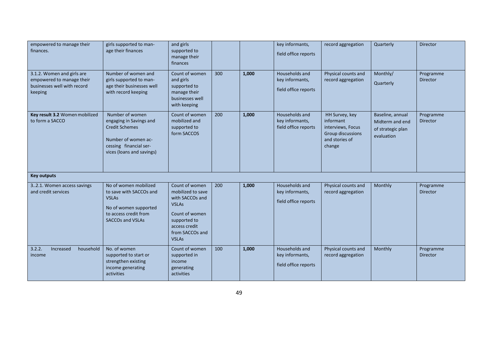| empowered to manage their<br>finances.                                                            | girls supported to man-<br>age their finances                                                                                                     | and girls<br>supported to<br>manage their<br>finances                                                                                                        |     |       | key informants,<br>field office reports                   | record aggregation                                                                                | Quarterly                                                              | Director              |
|---------------------------------------------------------------------------------------------------|---------------------------------------------------------------------------------------------------------------------------------------------------|--------------------------------------------------------------------------------------------------------------------------------------------------------------|-----|-------|-----------------------------------------------------------|---------------------------------------------------------------------------------------------------|------------------------------------------------------------------------|-----------------------|
| 3.1.2. Women and girls are<br>empowered to manage their<br>businesses well with record<br>keeping | Number of women and<br>girls supported to man-<br>age their businesses well<br>with record keeping                                                | Count of women<br>and girls<br>supported to<br>manage their<br>businesses well<br>with keeping                                                               | 300 | 1,000 | Households and<br>key informants,<br>field office reports | Physical counts and<br>record aggregation                                                         | Monthly/<br>Quarterly                                                  | Programme<br>Director |
| Key result 3.2 Women mobilized<br>to form a SACCO                                                 | Number of women<br>engaging in Savings and<br><b>Credit Schemes</b><br>Number of women ac-<br>cessing financial ser-<br>vices (loans and savings) | Count of women<br>mobilized and<br>supported to<br>form SACCOS                                                                                               | 200 | 1,000 | Households and<br>key informants,<br>field office reports | HH Survey, key<br>informant<br>interviews, Focus<br>Group discussions<br>and stories of<br>change | Baseline, annual<br>Midterm and end<br>of strategic plan<br>evaluation | Programme<br>Director |
| <b>Key outputs</b>                                                                                |                                                                                                                                                   |                                                                                                                                                              |     |       |                                                           |                                                                                                   |                                                                        |                       |
| 32.1. Women access savings<br>and credit services                                                 | No of women mobilized<br>to save with SACCOs and<br><b>VSLAs</b><br>No of women supported<br>to access credit from<br><b>SACCOs and VSLAs</b>     | Count of women<br>mobilized to save<br>with SACCOs and<br><b>VSLAs</b><br>Count of women<br>supported to<br>access credit<br>from SACCOs and<br><b>VSLAs</b> | 200 | 1,000 | Households and<br>key informants,<br>field office reports | Physical counts and<br>record aggregation                                                         | Monthly                                                                | Programme<br>Director |
| 3.2.2.<br>Increased<br>household<br>income                                                        | No. of women<br>supported to start or<br>strengthen existing<br>income generating<br>activities                                                   | Count of women<br>supported in<br>income<br>generating<br>activities                                                                                         | 100 | 1,000 | Households and<br>key informants,<br>field office reports | Physical counts and<br>record aggregation                                                         | Monthly                                                                | Programme<br>Director |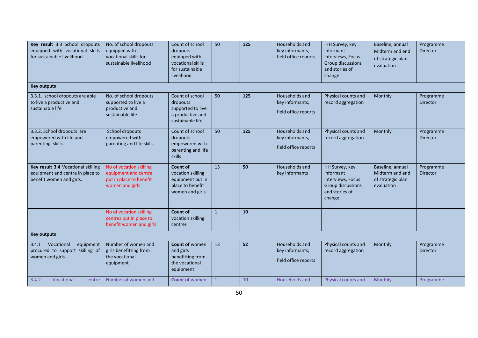| Key result 3.3 School dropouts<br>equipped with vocational skills<br>for sustainable livelihood    | No. of school dropouts<br>equipped with<br>vocational skills for<br>sustainable livelihood    | Count of school<br>dropouts<br>equipped with<br>vocational skills<br>for sustainable<br>livelihood | 50           | 125 | Households and<br>key informants,<br>field office reports | HH Survey, key<br>informant<br>interviews, Focus<br>Group discussions<br>and stories of<br>change | Baseline, annual<br>Midterm and end<br>of strategic plan<br>evaluation | Programme<br>Director        |
|----------------------------------------------------------------------------------------------------|-----------------------------------------------------------------------------------------------|----------------------------------------------------------------------------------------------------|--------------|-----|-----------------------------------------------------------|---------------------------------------------------------------------------------------------------|------------------------------------------------------------------------|------------------------------|
| <b>Key outputs</b>                                                                                 |                                                                                               |                                                                                                    |              |     |                                                           |                                                                                                   |                                                                        |                              |
| 3.3.1. school dropouts are able<br>to live a productive and<br>sustainable life                    | No. of school dropouts<br>supported to live a<br>productive and<br>sustainable life           | Count of school<br>dropouts<br>supported to live<br>a productive and<br>sustainable life           | 50           | 125 | Households and<br>key informants,<br>field office reports | Physical counts and<br>record aggregation                                                         | Monthly                                                                | Programme<br><b>Director</b> |
| 3.3.2. School dropouts are<br>empowered with life and<br>parenting skills                          | School dropouts<br>empowered with<br>parenting and life skills                                | Count of school<br>dropouts<br>empowered with<br>parenting and life<br>skills                      | 50           | 125 | Households and<br>key informants,<br>field office reports | Physical counts and<br>record aggregation                                                         | Monthly                                                                | Programme<br><b>Director</b> |
| Key result 3.4 Vocational skilling<br>equipment and centre in place to<br>benefit women and girls. | No of vocation skilling<br>equipment and centre<br>put in place to benefit<br>women and girls | Count of<br>vocation skilling<br>equipment put in<br>place to benefit<br>women and girls           | 13           | 50  | Households and<br>key informants                          | HH Survey, key<br>informant<br>interviews, Focus<br>Group discussions<br>and stories of<br>change | Baseline, annual<br>Midterm and end<br>of strategic plan<br>evaluation | Programme<br><b>Director</b> |
|                                                                                                    | No of vocation skilling<br>centres put in place to<br>benefit women and girls                 | <b>Count of</b><br>vocation skilling<br>centres                                                    | $\mathbf{1}$ | 10  |                                                           |                                                                                                   |                                                                        |                              |
| <b>Key outputs</b>                                                                                 |                                                                                               |                                                                                                    |              |     |                                                           |                                                                                                   |                                                                        |                              |
| Vocational<br>equipment<br>3.4.1<br>procured to support skilling of<br>women and girls             | Number of women and<br>girls benefitting from<br>the vocational<br>equipment                  | Count of women<br>and girls<br>benefitting from<br>the vocational<br>equipment                     | 13           | 52  | Households and<br>key informants,<br>field office reports | Physical counts and<br>record aggregation                                                         | Monthly                                                                | Programme<br><b>Director</b> |
| 3.4.2<br>Vocational<br>centre                                                                      | Number of women and                                                                           | <b>Count of women</b>                                                                              | $\mathbf{1}$ | 10  | Households and                                            | Physical counts and                                                                               | Monthly                                                                | Programme                    |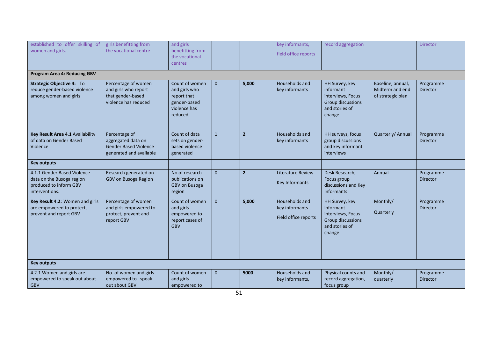| established to offer skilling of    | girls benefitting from       | and girls        |              |                | key informants,          | record aggregation  |                   | Director        |
|-------------------------------------|------------------------------|------------------|--------------|----------------|--------------------------|---------------------|-------------------|-----------------|
| women and girls.                    | the vocational centre        | benefitting from |              |                | field office reports     |                     |                   |                 |
|                                     |                              | the vocational   |              |                |                          |                     |                   |                 |
|                                     |                              | centres          |              |                |                          |                     |                   |                 |
| <b>Program Area 4: Reducing GBV</b> |                              |                  |              |                |                          |                     |                   |                 |
| Strategic Objective 4: To           | Percentage of women          | Count of women   | $\mathbf{0}$ | 5,000          | Households and           | HH Survey, key      | Baseline, annual, | Programme       |
| reduce gender-based violence        | and girls who report         | and girls who    |              |                | key informants           | informant           | Midterm and end   | <b>Director</b> |
| among women and girls               | that gender-based            | report that      |              |                |                          | interviews, Focus   | of strategic plan |                 |
|                                     | violence has reduced         | gender-based     |              |                |                          | Group discussions   |                   |                 |
|                                     |                              | violence has     |              |                |                          | and stories of      |                   |                 |
|                                     |                              | reduced          |              |                |                          | change              |                   |                 |
|                                     |                              |                  |              |                |                          |                     |                   |                 |
|                                     |                              |                  |              |                |                          |                     |                   |                 |
| Key Result Area 4.1 Availability    | Percentage of                | Count of data    | $\mathbf{1}$ | $\overline{2}$ | Households and           | HH surveys, focus   | Quarterly/ Annual | Programme       |
| of data on Gender Based             | aggregated data on           | sets on gender-  |              |                | key informants           | group discussions   |                   | <b>Director</b> |
| Violence                            | <b>Gender Based Violence</b> | based violence   |              |                |                          | and key informant   |                   |                 |
|                                     | generated and available      | generated        |              |                |                          | interviews          |                   |                 |
|                                     |                              |                  |              |                |                          |                     |                   |                 |
| <b>Key outputs</b>                  |                              |                  |              |                |                          |                     |                   |                 |
| 4.1.1 Gender Based Violence         | Research generated on        | No of research   | $\mathbf{0}$ | $\overline{2}$ | <b>Literature Review</b> | Desk Research,      | Annual            | Programme       |
| data on the Busoga region           | GBV on Busoga Region         | publications on  |              |                | Key Informants           | Focus group         |                   | <b>Director</b> |
| produced to inform GBV              |                              | GBV on Busoga    |              |                |                          | discussions and Key |                   |                 |
| interventions.                      |                              | region           |              |                |                          | <b>Informants</b>   |                   |                 |
| Key Result 4.2: Women and girls     | Percentage of women          | Count of women   | $\mathbf{0}$ | 5,000          | Households and           | HH Survey, key      | Monthly/          | Programme       |
| are empowered to protect,           | and girls empowered to       | and girls        |              |                | key informants           | informant           |                   | Director        |
| prevent and report GBV              | protect, prevent and         | empowered to     |              |                |                          | interviews, Focus   | Quarterly         |                 |
|                                     | report GBV                   | report cases of  |              |                | Field office reports     | Group discussions   |                   |                 |
|                                     |                              | <b>GBV</b>       |              |                |                          | and stories of      |                   |                 |
|                                     |                              |                  |              |                |                          | change              |                   |                 |
|                                     |                              |                  |              |                |                          |                     |                   |                 |
|                                     |                              |                  |              |                |                          |                     |                   |                 |
|                                     |                              |                  |              |                |                          |                     |                   |                 |
|                                     |                              |                  |              |                |                          |                     |                   |                 |
| <b>Key outputs</b>                  |                              |                  |              |                |                          |                     |                   |                 |
| 4.2.1 Women and girls are           | No. of women and girls       | Count of women   | $\mathbf{0}$ | 5000           | Households and           | Physical counts and | Monthly/          | Programme       |
| empowered to speak out about        | empowered to speak           | and girls        |              |                | key informants,          | record aggregation, | quarterly         | Director        |
| <b>GBV</b>                          | out about GBV                | empowered to     |              |                |                          | focus group         |                   |                 |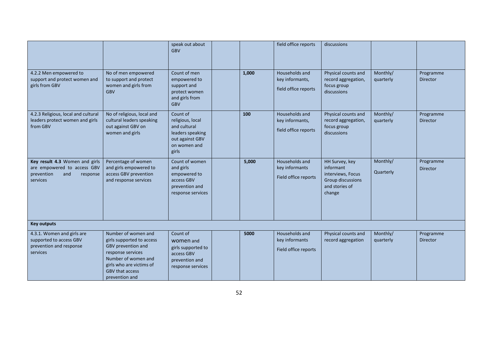|                                                                                                            |                                                                                                                                                                                            | speak out about<br><b>GBV</b>                                                                                |       | field office reports                                      | discussions                                                                                       |                       |                              |
|------------------------------------------------------------------------------------------------------------|--------------------------------------------------------------------------------------------------------------------------------------------------------------------------------------------|--------------------------------------------------------------------------------------------------------------|-------|-----------------------------------------------------------|---------------------------------------------------------------------------------------------------|-----------------------|------------------------------|
| 4.2.2 Men empowered to<br>support and protect women and<br>girls from GBV                                  | No of men empowered<br>to support and protect<br>women and girls from<br><b>GBV</b>                                                                                                        | Count of men<br>empowered to<br>support and<br>protect women<br>and girls from<br><b>GBV</b>                 | 1,000 | Households and<br>key informants,<br>field office reports | Physical counts and<br>record aggregation,<br>focus group<br>discussions                          | Monthly/<br>quarterly | Programme<br>Director        |
| 4.2.3 Religious, local and cultural<br>leaders protect women and girls<br>from GBV                         | No of religious, local and<br>cultural leaders speaking<br>out against GBV on<br>women and girls                                                                                           | Count of<br>religious, local<br>and cultural<br>leaders speaking<br>out against GBV<br>on women and<br>girls | 100   | Households and<br>key informants,<br>field office reports | Physical counts and<br>record aggregation,<br>focus group<br>discussions                          | Monthly/<br>quarterly | Programme<br>Director        |
| Key result 4.3 Women and girls<br>are empowered to access GBV<br>and<br>prevention<br>response<br>services | Percentage of women<br>and girls empowered to<br>access GBV prevention<br>and response services                                                                                            | Count of women<br>and girls<br>empowered to<br>access GBV<br>prevention and<br>response services             | 5,000 | Households and<br>key informants<br>Field office reports  | HH Survey, key<br>informant<br>interviews, Focus<br>Group discussions<br>and stories of<br>change | Monthly/<br>Quarterly | Programme<br><b>Director</b> |
| <b>Key outputs</b>                                                                                         |                                                                                                                                                                                            |                                                                                                              |       |                                                           |                                                                                                   |                       |                              |
| 4.3.1. Women and girls are<br>supported to access GBV<br>prevention and response<br>services               | Number of women and<br>girls supported to access<br>GBV prevention and<br>response services<br>Number of women and<br>girls who are victims of<br><b>GBV that access</b><br>prevention and | Count of<br>women and<br>girls supported to<br>access GBV<br>prevention and<br>response services             | 5000  | Households and<br>key informants<br>Field office reports  | Physical counts and<br>record aggregation                                                         | Monthly/<br>quarterly | Programme<br>Director        |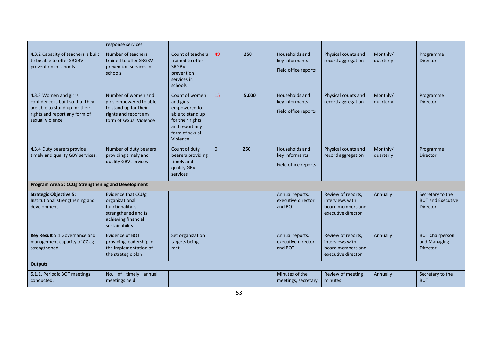|                                                                                                                                                  | response services                                                                                                           |                                                                                                                                     |              |       |                                                          |                                                                                  |                       |                                                                 |
|--------------------------------------------------------------------------------------------------------------------------------------------------|-----------------------------------------------------------------------------------------------------------------------------|-------------------------------------------------------------------------------------------------------------------------------------|--------------|-------|----------------------------------------------------------|----------------------------------------------------------------------------------|-----------------------|-----------------------------------------------------------------|
| 4.3.2 Capacity of teachers is built<br>to be able to offer SRGBV<br>prevention in schools                                                        | Number of teachers<br>trained to offer SRGBV<br>prevention services in<br>schools                                           | Count of teachers<br>trained to offer<br><b>SRGBV</b><br>prevention<br>services in<br>schools                                       | 49           | 250   | Households and<br>key informants<br>Field office reports | Physical counts and<br>record aggregation                                        | Monthly/<br>quarterly | Programme<br><b>Director</b>                                    |
| 4.3.3 Women and girl's<br>confidence is built so that they<br>are able to stand up for their<br>rights and report any form of<br>sexual Violence | Number of women and<br>girls empowered to able<br>to stand up for their<br>rights and report any<br>form of sexual Violence | Count of women<br>and girls<br>empowered to<br>able to stand up<br>for their rights<br>and report any<br>form of sexual<br>Violence | 15           | 5,000 | Households and<br>key informants<br>Field office reports | Physical counts and<br>record aggregation                                        | Monthly/<br>quarterly | Programme<br><b>Director</b>                                    |
| 4.3.4 Duty bearers provide<br>timely and quality GBV services.                                                                                   | Number of duty bearers<br>providing timely and<br>quality GBV services                                                      | Count of duty<br>bearers providing<br>timely and<br>quality GBV<br>services                                                         | $\mathbf{0}$ | 250   | Households and<br>key informants<br>Field office reports | Physical counts and<br>record aggregation                                        | Monthly/<br>quarterly | Programme<br>Director                                           |
| Program Area 5: CCUg Strengthening and Development                                                                                               |                                                                                                                             |                                                                                                                                     |              |       |                                                          |                                                                                  |                       |                                                                 |
| <b>Strategic Objective 5:</b><br>Institutional strengthening and<br>development                                                                  | Evidence that CCUg<br>organizational<br>functionality is<br>strengthened and is<br>achieving financial<br>sustainability.   |                                                                                                                                     |              |       | Annual reports,<br>executive director<br>and BOT         | Review of reports,<br>interviews with<br>board members and<br>executive director | Annually              | Secretary to the<br><b>BOT and Executive</b><br><b>Director</b> |
| Key Result 5.1 Governance and<br>management capacity of CCUg<br>strengthened.                                                                    | Evidence of BOT<br>providing leadership in<br>the implementation of<br>the strategic plan                                   | Set organization<br>targets being<br>met.                                                                                           |              |       | Annual reports,<br>executive director<br>and BOT         | Review of reports,<br>interviews with<br>board members and<br>executive director | Annually              | <b>BOT Chairperson</b><br>and Managing<br><b>Director</b>       |
| <b>Outputs</b>                                                                                                                                   |                                                                                                                             |                                                                                                                                     |              |       |                                                          |                                                                                  |                       |                                                                 |
| 5.1.1. Periodic BOT meetings<br>conducted.                                                                                                       | No. of timely annual<br>meetings held                                                                                       |                                                                                                                                     |              |       | Minutes of the<br>meetings, secretary                    | Review of meeting<br>minutes                                                     | Annually              | Secretary to the<br><b>BOT</b>                                  |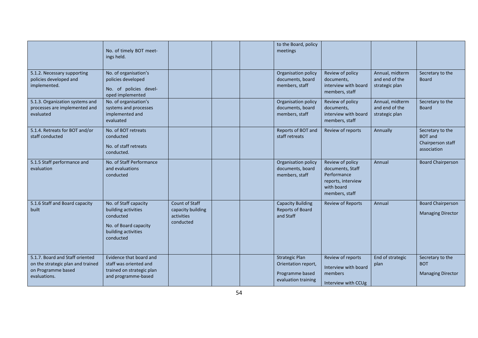|                                                                                                            | No. of timely BOT meet-<br>ings held.                                                                                  |                                                                |  | to the Board, policy<br>meetings                                                       |                                                                                                           |                                                     |                                                                        |
|------------------------------------------------------------------------------------------------------------|------------------------------------------------------------------------------------------------------------------------|----------------------------------------------------------------|--|----------------------------------------------------------------------------------------|-----------------------------------------------------------------------------------------------------------|-----------------------------------------------------|------------------------------------------------------------------------|
| 5.1.2. Necessary supporting<br>policies developed and<br>implemented.                                      | No. of organisation's<br>policies developed<br>No. of policies devel-<br>oped implemented                              |                                                                |  | Organisation policy<br>documents, board<br>members, staff                              | Review of policy<br>documents,<br>interview with board<br>members, staff                                  | Annual, midterm<br>and end of the<br>strategic plan | Secretary to the<br><b>Board</b>                                       |
| 5.1.3. Organization systems and<br>processes are implemented and<br>evaluated                              | No. of organisation's<br>systems and processes<br>implemented and<br>evaluated                                         |                                                                |  | Organisation policy<br>documents, board<br>members, staff                              | Review of policy<br>documents,<br>interview with board<br>members, staff                                  | Annual, midterm<br>and end of the<br>strategic plan | Secretary to the<br><b>Board</b>                                       |
| 5.1.4. Retreats for BOT and/or<br>staff conducted                                                          | No. of BOT retreats<br>conducted<br>No. of staff retreats<br>conducted.                                                |                                                                |  | Reports of BOT and<br>staff retreats                                                   | Review of reports                                                                                         | Annually                                            | Secretary to the<br><b>BOT</b> and<br>Chairperson staff<br>association |
| 5.1.5 Staff performance and<br>evaluation                                                                  | No. of Staff Performance<br>and evaluations<br>conducted                                                               |                                                                |  | Organisation policy<br>documents, board<br>members, staff                              | Review of policy<br>documents, Staff<br>Performance<br>reports, interview<br>with board<br>members, staff | Annual                                              | <b>Board Chairperson</b>                                               |
| 5.1.6 Staff and Board capacity<br>built                                                                    | No. of Staff capacity<br>building activities<br>conducted<br>No. of Board capacity<br>building activities<br>conducted | Count of Staff<br>capacity building<br>activities<br>conducted |  | <b>Capacity Building</b><br><b>Reports of Board</b><br>and Staff                       | <b>Review of Reports</b>                                                                                  | Annual                                              | <b>Board Chairperson</b><br><b>Managing Director</b>                   |
| 5.1.7. Board and Staff oriented<br>on the strategic plan and trained<br>on Programme based<br>evaluations. | Evidence that board and<br>staff was oriented and<br>trained on strategic plan<br>and programme-based                  |                                                                |  | <b>Strategic Plan</b><br>Orientation report,<br>Programme based<br>evaluation training | Review of reports<br>Interview with board<br>members<br>Interview with CCUg                               | End of strategic<br>plan                            | Secretary to the<br><b>BOT</b><br><b>Managing Director</b>             |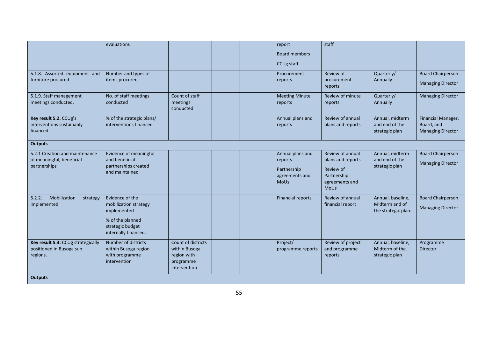|                                                                             | evaluations                                                                                                             |                                                                                 |  | report<br><b>Board members</b><br>CCUg staff                                | staff                                                                                              |                                                            |                                                              |  |
|-----------------------------------------------------------------------------|-------------------------------------------------------------------------------------------------------------------------|---------------------------------------------------------------------------------|--|-----------------------------------------------------------------------------|----------------------------------------------------------------------------------------------------|------------------------------------------------------------|--------------------------------------------------------------|--|
| 5.1.8. Assorted equipment and<br>furniture procured                         | Number and types of<br>items procured                                                                                   |                                                                                 |  | Procurement<br>reports                                                      | Review of<br>procurement<br>reports                                                                | Quarterly/<br>Annually                                     | <b>Board Chairperson</b><br><b>Managing Director</b>         |  |
| 5.1.9. Staff management<br>meetings conducted.                              | No. of staff meetings<br>conducted                                                                                      | Count of staff<br>meetings<br>conducted                                         |  | <b>Meeting Minute</b><br>reports                                            | Review of minute<br>reports                                                                        | Quarterly/<br>Annually                                     | <b>Managing Director</b>                                     |  |
| Key result 5.2. CCUg's<br>interventions sustainably<br>financed             | % of the strategic plans/<br>interventions financed                                                                     |                                                                                 |  | Annual plans and<br>reports                                                 | Review of annual<br>plans and reports                                                              | Annual, midterm<br>and end of the<br>strategic plan        | Financial Manager,<br>Board, and<br><b>Managing Director</b> |  |
| <b>Outputs</b>                                                              |                                                                                                                         |                                                                                 |  |                                                                             |                                                                                                    |                                                            |                                                              |  |
| 5.2.1 Creation and maintenance<br>of meaningful, beneficial<br>partnerships | Evidence of meaningful<br>and beneficial<br>partnerships created<br>and maintained                                      |                                                                                 |  | Annual plans and<br>reports<br>Partnership<br>agreements and<br><b>MoUs</b> | Review of annual<br>plans and reports<br>Review of<br>Partnership<br>agreements and<br><b>MoUs</b> | Annual, midterm<br>and end of the<br>strategic plan        | <b>Board Chairperson</b><br><b>Managing Director</b>         |  |
| Mobilization<br>5.2.2.<br>strategy<br>implemented.                          | Evidence of the<br>mobilization strategy<br>implemented<br>% of the planned<br>strategic budget<br>internally financed. |                                                                                 |  | <b>Financial reports</b>                                                    | Review of annual<br>financial report                                                               | Annual, baseline,<br>Midterm and of<br>the strategic plan. | <b>Board Chairperson</b><br><b>Managing Director</b>         |  |
| Key result 5.3: CCUg strategically<br>positioned in Busoga sub<br>regions.  | Number of districts<br>within Busoga region<br>with programme<br>intervention                                           | Count of districts<br>within Busoga<br>region with<br>programme<br>intervention |  | Project/<br>programme reports                                               | Review of project<br>and programme<br>reports                                                      | Annual, baseline,<br>Midterm of the<br>strategic plan      | Programme<br><b>Director</b>                                 |  |
| <b>Outputs</b>                                                              |                                                                                                                         |                                                                                 |  |                                                                             |                                                                                                    |                                                            |                                                              |  |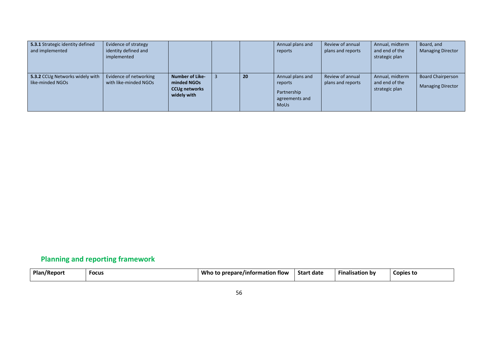| 5.3.1 Strategic identity defined<br>and implemented | Evidence of strategy<br>identity defined and<br>implemented |                                                                              |    | Annual plans and<br>reports                                                 | Review of annual<br>plans and reports | Annual, midterm<br>and end of the<br>strategic plan | Board, and<br><b>Managing Director</b>               |
|-----------------------------------------------------|-------------------------------------------------------------|------------------------------------------------------------------------------|----|-----------------------------------------------------------------------------|---------------------------------------|-----------------------------------------------------|------------------------------------------------------|
| 5.3.2 CCUg Networks widely with<br>like-minded NGOs | Evidence of networking<br>with like-minded NGOs             | <b>Number of Like-</b><br>minded NGOs<br><b>CCUg networks</b><br>widely with | 20 | Annual plans and<br>reports<br>Partnership<br>agreements and<br><b>MoUs</b> | Review of annual<br>plans and reports | Annual, midterm<br>and end of the<br>strategic plan | <b>Board Chairperson</b><br><b>Managing Director</b> |

# **Planning and reporting framework**

<span id="page-55-0"></span>

| <b>Plan/Report</b> | <b>Focus</b> | Who<br>to prepare/information flow ر | Start date | $-$<br><b>Finalisation by</b> | Copies to |
|--------------------|--------------|--------------------------------------|------------|-------------------------------|-----------|
|                    |              |                                      |            |                               |           |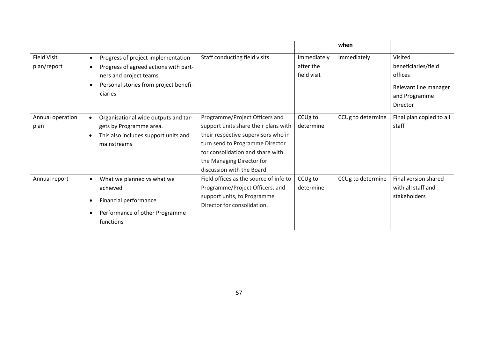|                    |           |                                       |                                        |             | when              |                          |
|--------------------|-----------|---------------------------------------|----------------------------------------|-------------|-------------------|--------------------------|
| <b>Field Visit</b> | $\bullet$ | Progress of project implementation    | Staff conducting field visits          | Immediately | Immediately       | Visited                  |
| plan/report        | $\bullet$ | Progress of agreed actions with part- |                                        | after the   |                   | beneficiaries/field      |
|                    |           | ners and project teams                |                                        | field visit |                   | offices                  |
|                    |           | Personal stories from project benefi- |                                        |             |                   | Relevant line manager    |
|                    |           | ciaries                               |                                        |             |                   | and Programme            |
|                    |           |                                       |                                        |             |                   | Director                 |
|                    |           |                                       |                                        |             |                   |                          |
| Annual operation   | $\bullet$ | Organisational wide outputs and tar-  | Programme/Project Officers and         | CCUg to     | CCUg to determine | Final plan copied to all |
| plan               |           | gets by Programme area.               | support units share their plans with   | determine   |                   | staff                    |
|                    | $\bullet$ | This also includes support units and  | their respective supervisors who in    |             |                   |                          |
|                    |           | mainstreams                           | turn send to Programme Director        |             |                   |                          |
|                    |           |                                       | for consolidation and share with       |             |                   |                          |
|                    |           |                                       | the Managing Director for              |             |                   |                          |
|                    |           |                                       | discussion with the Board.             |             |                   |                          |
| Annual report      | $\bullet$ | What we planned vs what we            | Field offices as the source of info to | CCUg to     | CCUg to determine | Final version shared     |
|                    |           | achieved                              | Programme/Project Officers, and        | determine   |                   | with all staff and       |
|                    |           | Financial performance                 | support units, to Programme            |             |                   | stakeholders             |
|                    |           |                                       | Director for consolidation.            |             |                   |                          |
|                    |           | Performance of other Programme        |                                        |             |                   |                          |
|                    |           | functions                             |                                        |             |                   |                          |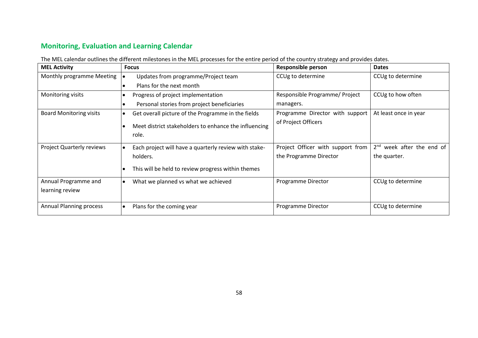# **Monitoring, Evaluation and Learning Calendar**

The MEL calendar outlines the different milestones in the MEL processes for the entire period of the country strategy and provides dates.

<span id="page-57-0"></span>

| <b>MEL Activity</b>              | <b>Focus</b>                                                   | <b>Responsible person</b>         | <b>Dates</b>                |
|----------------------------------|----------------------------------------------------------------|-----------------------------------|-----------------------------|
| Monthly programme Meeting        | Updates from programme/Project team                            | CCUg to determine                 | CCUg to determine           |
|                                  | Plans for the next month                                       |                                   |                             |
| Monitoring visits                | Progress of project implementation                             | Responsible Programme/ Project    | CCUg to how often           |
|                                  | Personal stories from project beneficiaries                    | managers.                         |                             |
| <b>Board Monitoring visits</b>   | Get overall picture of the Programme in the fields             | Programme Director with support   | At least once in year       |
|                                  | Meet district stakeholders to enhance the influencing<br>role. | of Project Officers               |                             |
| <b>Project Quarterly reviews</b> | Each project will have a quarterly review with stake-          | Project Officer with support from | $2nd$ week after the end of |
|                                  | holders.                                                       | the Programme Director            | the quarter.                |
|                                  | This will be held to review progress within themes             |                                   |                             |
| Annual Programme and             | What we planned vs what we achieved                            | Programme Director                | CCUg to determine           |
| learning review                  |                                                                |                                   |                             |
| Annual Planning process          | Plans for the coming year                                      | Programme Director                | CCUg to determine           |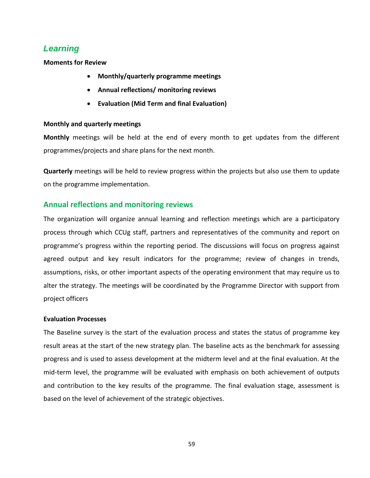# <span id="page-58-0"></span>*Learning*

**Moments for Review**

- **Monthly/quarterly programme meetings**
- **Annual reflections/ monitoring reviews**
- **Evaluation (Mid Term and final Evaluation)**

#### **Monthly and quarterly meetings**

**Monthly** meetings will be held at the end of every month to get updates from the different programmes/projects and share plans for the next month.

**Quarterly** meetings will be held to review progress within the projects but also use them to update on the programme implementation.

## <span id="page-58-1"></span>**Annual reflections and monitoring reviews**

The organization will organize annual learning and reflection meetings which are a participatory process through which CCUg staff, partners and representatives of the community and report on programme's progress within the reporting period. The discussions will focus on progress against agreed output and key result indicators for the programme; review of changes in trends, assumptions, risks, or other important aspects of the operating environment that may require us to alter the strategy. The meetings will be coordinated by the Programme Director with support from project officers

#### **Evaluation Processes**

The Baseline survey is the start of the evaluation process and states the status of programme key result areas at the start of the new strategy plan. The baseline acts as the benchmark for assessing progress and is used to assess development at the midterm level and at the final evaluation. At the mid-term level, the programme will be evaluated with emphasis on both achievement of outputs and contribution to the key results of the programme. The final evaluation stage, assessment is based on the level of achievement of the strategic objectives.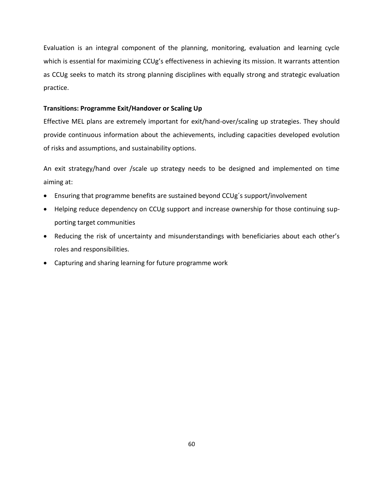Evaluation is an integral component of the planning, monitoring, evaluation and learning cycle which is essential for maximizing CCUg's effectiveness in achieving its mission. It warrants attention as CCUg seeks to match its strong planning disciplines with equally strong and strategic evaluation practice.

#### <span id="page-59-0"></span>**Transitions: Programme Exit/Handover or Scaling Up**

Effective MEL plans are extremely important for exit/hand-over/scaling up strategies. They should provide continuous information about the achievements, including capacities developed evolution of risks and assumptions, and sustainability options.

An exit strategy/hand over /scale up strategy needs to be designed and implemented on time aiming at:

- Ensuring that programme benefits are sustained beyond CCUg´s support/involvement
- Helping reduce dependency on CCUg support and increase ownership for those continuing supporting target communities
- Reducing the risk of uncertainty and misunderstandings with beneficiaries about each other's roles and responsibilities.
- Capturing and sharing learning for future programme work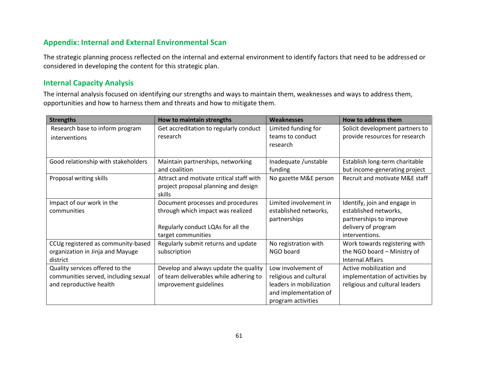# **Appendix: Internal and External Environmental Scan**

The strategic planning process reflected on the internal and external environment to identify factors that need to be addressed or considered in developing the content for this strategic plan.

# **Internal Capacity Analysis**

The internal analysis focused on identifying our strengths and ways to maintain them, weaknesses and ways to address them, opportunities and how to harness them and threats and how to mitigate them.

<span id="page-60-1"></span><span id="page-60-0"></span>

| <b>Strengths</b>                     | How to maintain strengths                | Weaknesses              | How to address them             |
|--------------------------------------|------------------------------------------|-------------------------|---------------------------------|
| Research base to inform program      | Get accreditation to regularly conduct   | Limited funding for     | Solicit development partners to |
| interventions                        | research                                 | teams to conduct        | provide resources for research  |
|                                      |                                          | research                |                                 |
|                                      |                                          |                         |                                 |
| Good relationship with stakeholders  | Maintain partnerships, networking        | Inadequate /unstable    | Establish long-term charitable  |
|                                      | and coalition                            | funding                 | but income-generating project   |
| Proposal writing skills              | Attract and motivate critical staff with | No gazette M&E person   | Recruit and motivate M&E staff  |
|                                      | project proposal planning and design     |                         |                                 |
|                                      | skills                                   |                         |                                 |
| Impact of our work in the            | Document processes and procedures        | Limited involvement in  | Identify, join and engage in    |
| communities                          | through which impact was realized        | established networks,   | established networks,           |
|                                      |                                          | partnerships            | partnerships to improve         |
|                                      | Regularly conduct LQAs for all the       |                         | delivery of program             |
|                                      | target communities                       |                         | interventions.                  |
| CCUg registered as community-based   | Regularly submit returns and update      | No registration with    | Work towards registering with   |
| organization in Jinja and Mayuge     | subscription                             | NGO board               | the NGO board - Ministry of     |
| district                             |                                          |                         | <b>Internal Affairs</b>         |
| Quality services offered to the      | Develop and always update the quality    | Low involvement of      | Active mobilization and         |
| communities served, including sexual | of team deliverables while adhering to   | religious and cultural  | implementation of activities by |
| and reproductive health              | improvement guidelines                   | leaders in mobilization | religious and cultural leaders  |
|                                      |                                          | and implementation of   |                                 |
|                                      |                                          | program activities      |                                 |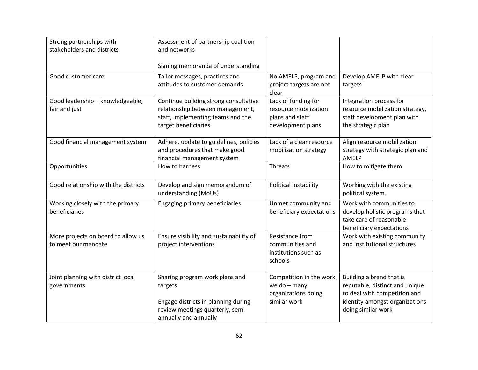| Strong partnerships with<br>stakeholders and districts    | Assessment of partnership coalition<br>and networks<br>Signing memoranda of understanding                                                     |                                                                                      |                                                                                                                                                    |
|-----------------------------------------------------------|-----------------------------------------------------------------------------------------------------------------------------------------------|--------------------------------------------------------------------------------------|----------------------------------------------------------------------------------------------------------------------------------------------------|
| Good customer care                                        | Tailor messages, practices and<br>attitudes to customer demands                                                                               | No AMELP, program and<br>project targets are not<br>clear                            | Develop AMELP with clear<br>targets                                                                                                                |
| Good leadership - knowledgeable,<br>fair and just         | Continue building strong consultative<br>relationship between management,<br>staff, implementing teams and the<br>target beneficiaries        | Lack of funding for<br>resource mobilization<br>plans and staff<br>development plans | Integration process for<br>resource mobilization strategy,<br>staff development plan with<br>the strategic plan                                    |
| Good financial management system                          | Adhere, update to guidelines, policies<br>and procedures that make good<br>financial management system                                        | Lack of a clear resource<br>mobilization strategy                                    | Align resource mobilization<br>strategy with strategic plan and<br>AMELP                                                                           |
| Opportunities                                             | How to harness                                                                                                                                | <b>Threats</b>                                                                       | How to mitigate them                                                                                                                               |
| Good relationship with the districts                      | Develop and sign memorandum of<br>understanding (MoUs)                                                                                        | Political instability                                                                | Working with the existing<br>political system.                                                                                                     |
| Working closely with the primary<br>beneficiaries         | Engaging primary beneficiaries                                                                                                                | Unmet community and<br>beneficiary expectations                                      | Work with communities to<br>develop holistic programs that<br>take care of reasonable<br>beneficiary expectations                                  |
| More projects on board to allow us<br>to meet our mandate | Ensure visibility and sustainability of<br>project interventions                                                                              | Resistance from<br>communities and<br>institutions such as<br>schools                | Work with existing community<br>and institutional structures                                                                                       |
| Joint planning with district local<br>governments         | Sharing program work plans and<br>targets<br>Engage districts in planning during<br>review meetings quarterly, semi-<br>annually and annually | Competition in the work<br>we do $-$ many<br>organizations doing<br>similar work     | Building a brand that is<br>reputable, distinct and unique<br>to deal with competition and<br>identity amongst organizations<br>doing similar work |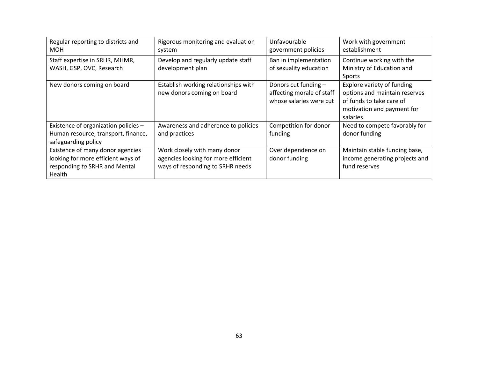| Regular reporting to districts and<br><b>MOH</b>                                                                  | Rigorous monitoring and evaluation<br>system                                                            | Unfavourable<br>government policies                                          | Work with government<br>establishment                                                                                             |
|-------------------------------------------------------------------------------------------------------------------|---------------------------------------------------------------------------------------------------------|------------------------------------------------------------------------------|-----------------------------------------------------------------------------------------------------------------------------------|
| Staff expertise in SRHR, MHMR,<br>WASH, GSP, OVC, Research                                                        | Develop and regularly update staff<br>development plan                                                  | Ban in implementation<br>of sexuality education                              | Continue working with the<br>Ministry of Education and<br>Sports                                                                  |
| New donors coming on board                                                                                        | Establish working relationships with<br>new donors coming on board                                      | Donors cut funding -<br>affecting morale of staff<br>whose salaries were cut | Explore variety of funding<br>options and maintain reserves<br>of funds to take care of<br>motivation and payment for<br>salaries |
| Existence of organization policies -<br>Human resource, transport, finance,<br>safeguarding policy                | Awareness and adherence to policies<br>and practices                                                    | Competition for donor<br>funding                                             | Need to compete favorably for<br>donor funding                                                                                    |
| Existence of many donor agencies<br>looking for more efficient ways of<br>responding to SRHR and Mental<br>Health | Work closely with many donor<br>agencies looking for more efficient<br>ways of responding to SRHR needs | Over dependence on<br>donor funding                                          | Maintain stable funding base,<br>income generating projects and<br>fund reserves                                                  |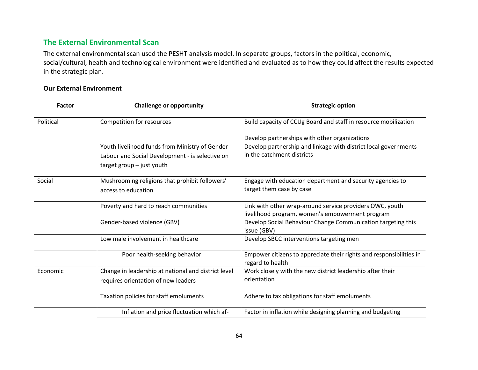# **The External Environmental Scan**

The external environmental scan used the PESHT analysis model. In separate groups, factors in the political, economic, social/cultural, health and technological environment were identified and evaluated as to how they could affect the results expected in the strategic plan.

## **Our External Environment**

<span id="page-63-0"></span>

| <b>Factor</b> | <b>Challenge or opportunity</b>                                                                                                | <b>Strategic option</b>                                                                                     |
|---------------|--------------------------------------------------------------------------------------------------------------------------------|-------------------------------------------------------------------------------------------------------------|
| Political     | Competition for resources                                                                                                      | Build capacity of CCUg Board and staff in resource mobilization                                             |
|               |                                                                                                                                | Develop partnerships with other organizations                                                               |
|               | Youth livelihood funds from Ministry of Gender<br>Labour and Social Development - is selective on<br>target group - just youth | Develop partnership and linkage with district local governments<br>in the catchment districts               |
|               |                                                                                                                                |                                                                                                             |
| Social        | Mushrooming religions that prohibit followers'<br>access to education                                                          | Engage with education department and security agencies to<br>target them case by case                       |
|               | Poverty and hard to reach communities                                                                                          | Link with other wrap-around service providers OWC, youth<br>livelihood program, women's empowerment program |
|               | Gender-based violence (GBV)                                                                                                    | Develop Social Behaviour Change Communication targeting this<br>issue (GBV)                                 |
|               | Low male involvement in healthcare                                                                                             | Develop SBCC interventions targeting men                                                                    |
|               | Poor health-seeking behavior                                                                                                   | Empower citizens to appreciate their rights and responsibilities in<br>regard to health                     |
| Economic      | Change in leadership at national and district level<br>requires orientation of new leaders                                     | Work closely with the new district leadership after their<br>orientation                                    |
|               | Taxation policies for staff emoluments                                                                                         | Adhere to tax obligations for staff emoluments                                                              |
|               | Inflation and price fluctuation which af-                                                                                      | Factor in inflation while designing planning and budgeting                                                  |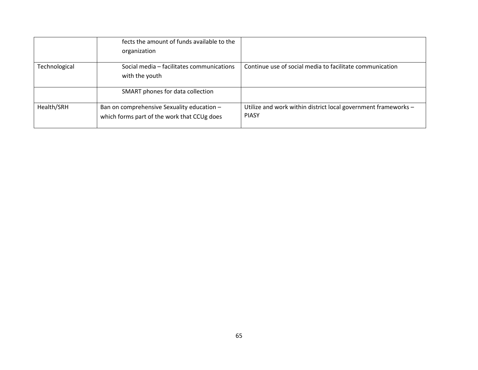|               | fects the amount of funds available to the<br>organization                                |                                                                                |
|---------------|-------------------------------------------------------------------------------------------|--------------------------------------------------------------------------------|
| Technological | Social media - facilitates communications<br>with the youth                               | Continue use of social media to facilitate communication                       |
|               | SMART phones for data collection                                                          |                                                                                |
| Health/SRH    | Ban on comprehensive Sexuality education -<br>which forms part of the work that CCUg does | Utilize and work within district local government frameworks -<br><b>PIASY</b> |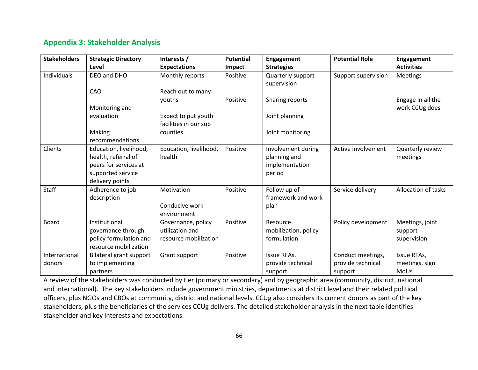# **Appendix 3: Stakeholder Analysis**

<span id="page-65-0"></span>

| <b>Stakeholders</b>     | <b>Strategic Directory</b>                                                                                     | Interests /                                                    | <b>Potential</b> | Engagement                                                     | <b>Potential Role</b>                             | <b>Engagement</b>                         |
|-------------------------|----------------------------------------------------------------------------------------------------------------|----------------------------------------------------------------|------------------|----------------------------------------------------------------|---------------------------------------------------|-------------------------------------------|
|                         | Level                                                                                                          | <b>Expectations</b>                                            | <b>Impact</b>    | <b>Strategies</b>                                              |                                                   | <b>Activities</b>                         |
| Individuals             | DEO and DHO                                                                                                    | Monthly reports                                                | Positive         | Quarterly support<br>supervision                               | Support supervision                               | <b>Meetings</b>                           |
|                         | CAO                                                                                                            | Reach out to many                                              |                  |                                                                |                                                   |                                           |
|                         | Monitoring and                                                                                                 | youths                                                         | Positive         | Sharing reports                                                |                                                   | Engage in all the<br>work CCUg does       |
|                         | evaluation                                                                                                     | Expect to put youth<br>facilities in our sub                   |                  | Joint planning                                                 |                                                   |                                           |
|                         | Making<br>recommendations                                                                                      | counties                                                       |                  | Joint monitoring                                               |                                                   |                                           |
| Clients                 | Education, livelihood,<br>health, referral of<br>peers for services at<br>supported service<br>delivery points | Education, livelihood,<br>health                               | Positive         | Involvement during<br>planning and<br>implementation<br>period | Active involvement                                | Quarterly review<br>meetings              |
| <b>Staff</b>            | Adherence to job<br>description                                                                                | Motivation<br>Conducive work<br>environment                    | Positive         | Follow up of<br>framework and work<br>plan                     | Service delivery                                  | Allocation of tasks                       |
| Board                   | Institutional<br>governance through<br>policy formulation and<br>resource mobilization                         | Governance, policy<br>utilization and<br>resource mobilization | Positive         | Resource<br>mobilization, policy<br>formulation                | Policy development                                | Meetings, joint<br>support<br>supervision |
| International<br>donors | Bilateral grant support<br>to implementing<br>partners                                                         | Grant support                                                  | Positive         | Issue RFAs,<br>provide technical<br>support                    | Conduct meetings,<br>provide technical<br>support | Issue RFAs,<br>meetings, sign<br>MoUs     |

A review of the stakeholders was conducted by tier (primary or secondary) and by geographic area (community, district, national and international). The key stakeholders include government ministries, departments at district level and their related political officers, plus NGOs and CBOs at community, district and national levels. CCUg also considers its current donors as part of the key stakeholders, plus the beneficiaries of the services CCUg delivers. The detailed stakeholder analysis in the next table identifies stakeholder and key interests and expectations.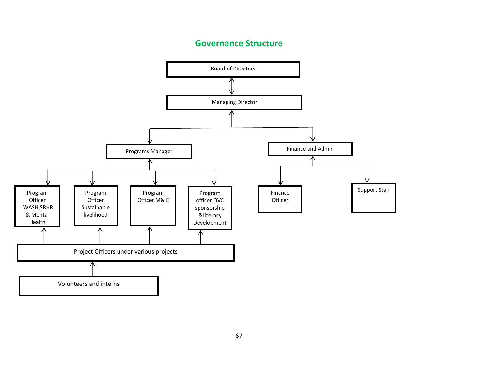# **Governance Structure**

<span id="page-66-0"></span>